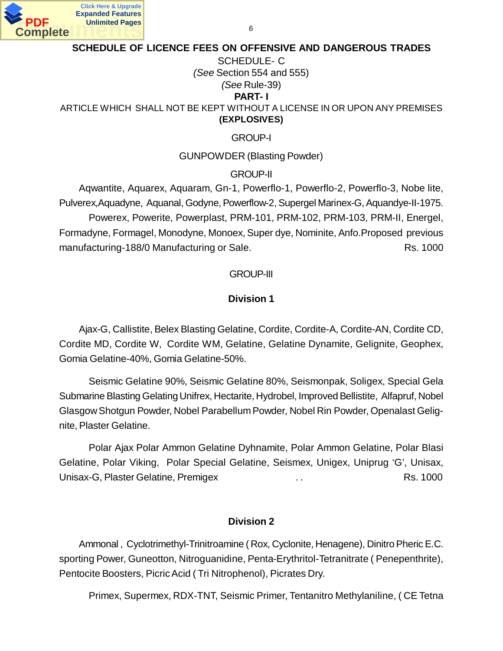

#### **SCHEDULE OF LICENCE FEES ON OFFENSIVE AND DANGEROUS TRADES**

#### SCHEDULE- C *(See* Section 554 and 555) *(See* Rule-39) **PART- I**

ARTICLE WHICH SHALL NOT BE KEPT WITHOUT A LICENSE IN OR UPON ANY PREMISES **(EXPLOSIVES)**

GROUP-I

GUNPOWDER (Blasting Powder)

GROUP-II

Aqwantite, Aquarex, Aquaram, Gn-1, Powerflo-1, Powerflo-2, Powerflo-3, Nobe lite, Pulverex,Aquadyne, Aquanal, Godyne, Powerflow-2, Supergel Marinex-G, Aquandye-II-1975. Powerex, Powerite, Powerplast, PRM-101, PRM-102, PRM-103, PRM-II, Energel, Formadyne, Formagel, Monodyne, Monoex, Super dye, Nominite, Anfo.Proposed previous manufacturing-188/0 Manufacturing or Sale. Rs. 1000

#### GROUP-III

#### **Division 1**

Ajax-G, Callistite, Belex Blasting Gelatine, Cordite, Cordite-A, Cordite-AN, Cordite CD, Cordite MD, Cordite W, Cordite WM, Gelatine, Gelatine Dynamite, Gelignite, Geophex, Gomia Gelatine-40%, Gomia Gelatine-50%.

Seismic Gelatine 90%, Seismic Gelatine 80%, Seismonpak, Soligex, Special Gela Submarine Blasting Gelating Unifrex, Hectarite, Hydrobel, Improved Bellistite, Alfapruf, Nobel Glasgow Shotgun Powder, Nobel Parabellum Powder, Nobel Rin Powder, Openalast Gelignite, Plaster Gelatine.

Polar Ajax Polar Ammon Gelatine Dyhnamite, Polar Ammon Gelatine, Polar Blasi Gelatine, Polar Viking, Polar Special Gelatine, Seismex, Unigex, Uniprug 'G', Unisax, Unisax-G, Plaster Gelatine, Premigex . . Rs. 1000

#### **Division 2**

Ammonal , Cyclotrimethyl-Trinitroamine ( Rox, Cyclonite, Henagene), Dinitro Pheric E.C. sporting Power, Guneotton, Nitroguanidine, Penta-Erythritol-Tetranitrate ( Penepenthrite), Pentocite Boosters, Picric Acid ( Tri Nitrophenol), Picrates Dry.

Primex, Supermex, RDX-TNT, Seismic Primer, Tentanitro Methylaniline, ( CE Tetna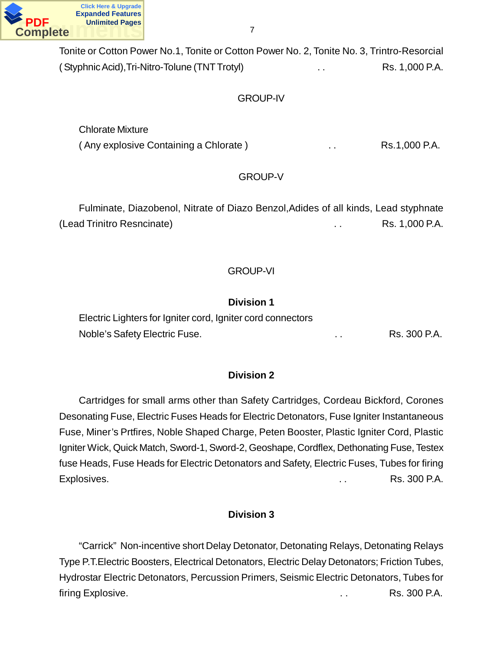

Tonite or Cotton Power No.1, Tonite or Cotton Power No. 2, Tonite No. 3, Trintro-Resorcial (Styphnic Acid), Tri-Nitro-Tolune (TNT Trotyl) ... Rs. 1,000 P.A.

### GROUP-IV

Chlorate Mixture (Any explosive Containing a Chlorate) **.** . . . . . . . . . Rs.1,000 P.A.

### GROUP-V

Fulminate, Diazobenol, Nitrate of Diazo Benzol,Adides of all kinds, Lead styphnate (Lead Trinitro Resncinate) **Example 2** is a control of the Rs. 1,000 P.A.

#### GROUP-VI

### **Division 1**

Electric Lighters for Igniter cord, Igniter cord connectors Noble's Safety Electric Fuse. . . . . . . . . . . . . . . Rs. 300 P.A.

### **Division 2**

Cartridges for small arms other than Safety Cartridges, Cordeau Bickford, Corones Desonating Fuse, Electric Fuses Heads for Electric Detonators, Fuse Igniter Instantaneous Fuse, Miner's Prtfires, Noble Shaped Charge, Peten Booster, Plastic Igniter Cord, Plastic Igniter Wick, Quick Match, Sword-1, Sword-2, Geoshape, Cordflex, Dethonating Fuse, Testex fuse Heads, Fuse Heads for Electric Detonators and Safety, Electric Fuses, Tubes for firing Explosives. . . Rs. 300 P.A.

### **Division 3**

"Carrick" Non-incentive short Delay Detonator, Detonating Relays, Detonating Relays Type P.T.Electric Boosters, Electrical Detonators, Electric Delay Detonators; Friction Tubes, Hydrostar Electric Detonators, Percussion Primers, Seismic Electric Detonators, Tubes for firing Explosive. **Explosive.** The set of the set of the set of the set of the set of the set of the set of the set of the set of the set of the set of the set of the set of the set of the set of the set of the set of the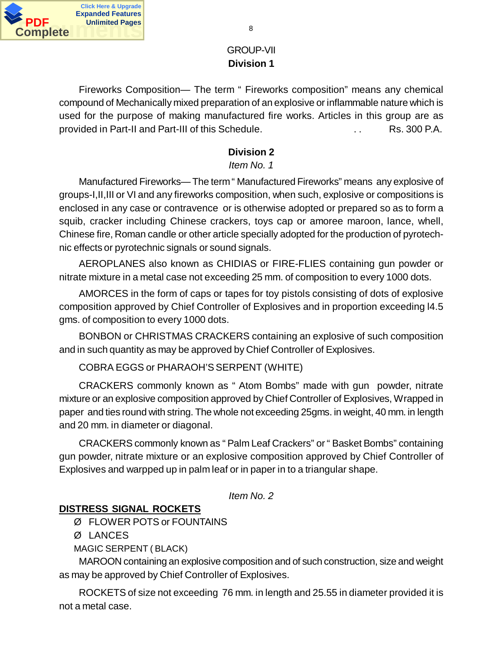

# GROUP-VII **Division 1**

Fireworks Composition— The term " Fireworks composition" means any chemical compound of Mechanically mixed preparation of an explosive or inflammable nature which is used for the purpose of making manufactured fire works. Articles in this group are as provided in Part-II and Part-III of this Schedule. . . Rs. 300 P.A.

# **Division 2**

# *Item No. 1*

Manufactured Fireworks— The term " Manufactured Fireworks" means any explosive of groups-I,II,III or VI and any fireworks composition, when such, explosive or compositions is enclosed in any case or contravence or is otherwise adopted or prepared so as to form a squib, cracker including Chinese crackers, toys cap or amoree maroon, lance, whell, Chinese fire, Roman candle or other article specially adopted for the production of pyrotechnic effects or pyrotechnic signals or sound signals.

AEROPLANES also known as CHIDIAS or FIRE-FLIES containing gun powder or nitrate mixture in a metal case not exceeding 25 mm. of composition to every 1000 dots.

AMORCES in the form of caps or tapes for toy pistols consisting of dots of explosive composition approved by Chief Controller of Explosives and in proportion exceeding l4.5 gms. of composition to every 1000 dots.

BONBON or CHRISTMAS CRACKERS containing an explosive of such composition and in such quantity as may be approved by Chief Controller of Explosives.

COBRA EGGS or PHARAOH'S SERPENT (WHITE)

CRACKERS commonly known as " Atom Bombs" made with gun powder, nitrate mixture or an explosive composition approved by Chief Controller of Explosives, Wrapped in paper and ties round with string. The whole not exceeding 25gms. in weight, 40 mm. in length and 20 mm. in diameter or diagonal.

CRACKERS commonly known as " Palm Leaf Crackers" or " Basket Bombs" containing gun powder, nitrate mixture or an explosive composition approved by Chief Controller of Explosives and warpped up in palm leaf or in paper in to a triangular shape.

*Item No. 2*

# **DISTRESS SIGNAL ROCKETS**

Ø FLOWER POTS or FOUNTAINS

Ø LANCES

MAGIC SERPENT ( BLACK)

MAROON containing an explosive composition and of such construction, size and weight as may be approved by Chief Controller of Explosives.

ROCKETS of size not exceeding 76 mm. in length and 25.55 in diameter provided it is not a metal case.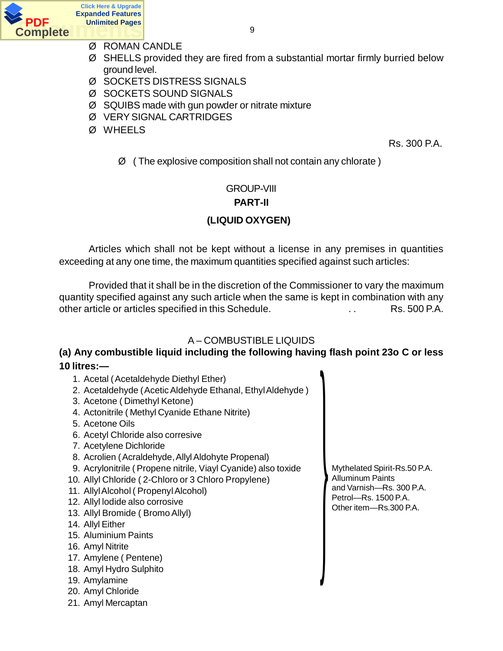

- Ø ROMAN CANDLE
- Ø SHELLS provided they are fired from a substantial mortar firmly burried below ground level.
- Ø SOCKETS DISTRESS SIGNALS
- Ø SOCKETS SOUND SIGNALS
- Ø SQUIBS made with gun powder or nitrate mixture
- Ø VERY SIGNAL CARTRIDGES
- Ø WHEELS

Rs. 300 P.A.

 $\varnothing$  (The explosive composition shall not contain any chlorate)

# GROUP-VIII

### **PART-II**

# **(LIQUID OXYGEN)**

Articles which shall not be kept without a license in any premises in quantities exceeding at any one time, the maximum quantities specified against such articles:

Provided that it shall be in the discretion of the Commissioner to vary the maximum quantity specified against any such article when the same is kept in combination with any other article or articles specified in this Schedule. **Example 20** and Rs. 500 P.A.

# A – COMBUSTIBLE LIQUIDS

### **(a) Any combustible liquid including the following having flash point 23o C or less 10 litres:—**

- 1. Acetal ( Acetaldehyde Diethyl Ether)
- 2. Acetaldehyde ( Acetic Aldehyde Ethanal, Ethyl Aldehyde )
- 3. Acetone ( Dimethyl Ketone)
- 4. Actonitrile ( Methyl Cyanide Ethane Nitrite)
- 5. Acetone Oils
- 6. Acetyl Chloride also corresive
- 7. Acetylene Dichloride
- 8. Acrolien ( Acraldehyde, Allyl Aldohyte Propenal)
- 9. Acrylonitrile ( Propene nitrile, Viayl Cyanide) also toxide
- 10. Allyl Chloride ( 2-Chloro or 3 Chloro Propylene)
- 11. Allyl Alcohol ( Propenyl Alcohol)
- 12. Allyl lodide also corrosive
- 13. Allyl Bromide ( Bromo Allyl)
- 14. Allyl Either
- 15. Aluminium Paints
- 16. Amyl Nitrite
- 17. Amylene ( Pentene)
- 18. Amyl Hydro Sulphito
- 19. Amylamine
- 20. Amyl Chloride
- 21. Amyl Mercaptan

Mythelated Spirit-Rs.50 P.A. Alluminum Paints and Varnish—Rs. 300 P.A. Petrol—Rs. 1500 P.A. Other item—Rs.300 P.A.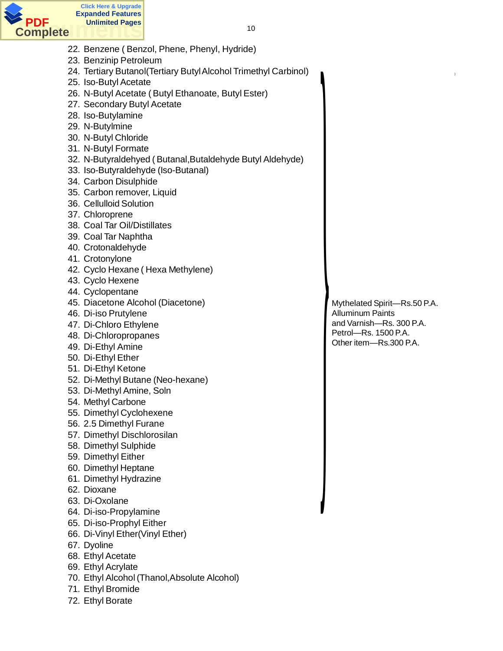

22. Benzene ( Benzol, Phene, Phenyl, Hydride)

- 23. Benzinip Petroleum
- 24. Tertiary Butanol(Tertiary Butyl Alcohol Trimethyl Carbinol)
- 25. Iso-Butyl Acetate
- 26. N-Butyl Acetate ( Butyl Ethanoate, Butyl Ester)
- 27. Secondary Butyl Acetate
- 28. Iso-Butylamine
- 29. N-Butylmine
- 30. N-Butyl Chloride
- 31. N-Butyl Formate
- 32. N-Butyraldehyed ( Butanal,Butaldehyde Butyl Aldehyde)
- 33. Iso-Butyraldehyde (Iso-Butanal)
- 34. Carbon Disulphide
- 35. Carbon remover, Liquid
- 36. Cellulloid Solution
- 37. Chloroprene
- 38. Coal Tar Oil/Distillates
- 39. Coal Tar Naphtha
- 40. Crotonaldehyde
- 41. Crotonylone
- 42. Cyclo Hexane ( Hexa Methylene)
- 43. Cyclo Hexene
- 44. Cyclopentane
- 45. Diacetone Alcohol (Diacetone)
- 46. Di-iso Prutylene
- 47. Di-Chloro Ethylene
- 48. Di-Chloropropanes
- 49. Di-Ethyl Amine
- 50. Di-Ethyl Ether
- 51. Di-Ethyl Ketone
- 52. Di-Methyl Butane (Neo-hexane)
- 53. Di-Methyl Amine, Soln
- 54. Methyl Carbone
- 55. Dimethyl Cyclohexene
- 56. 2.5 Dimethyl Furane
- 57. Dimethyl Dischlorosilan
- 58. Dimethyl Sulphide
- 59. Dimethyl Either
- 60. Dimethyl Heptane
- 61. Dimethyl Hydrazine
- 62. Dioxane
- 63. Di-Oxolane
- 64. Di-iso-Propylamine
- 65. Di-iso-Prophyl Either
- 66. Di-Vinyl Ether(Vinyl Ether)
- 67. Dyoline
- 68. Ethyl Acetate
- 69. Ethyl Acrylate
- 70. Ethyl Alcohol (Thanol,Absolute Alcohol)
- 71. Ethyl Bromide
- 72. Ethyl Borate

Mythelated Spirit—Rs.50 P.A. Alluminum Paints and Varnish—Rs. 300 P.A. Petrol—Rs. 1500 P.A. Other item—Rs.300 P.A.

}

*Property of the Community of the Community of the Community of the Community of the Community of the Community*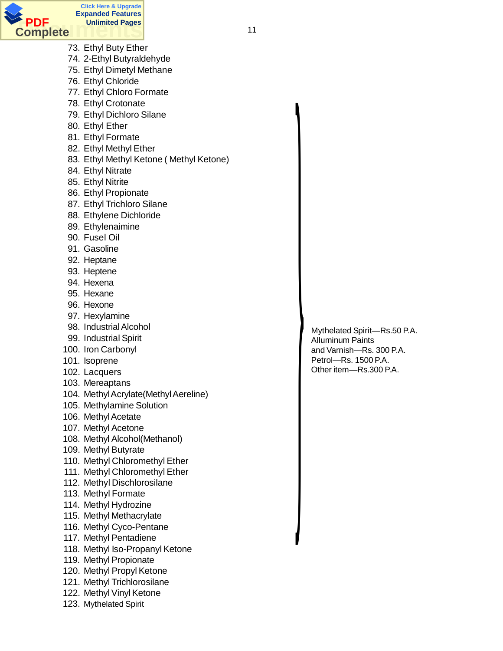

- 73. Ethyl Buty Ether
- 74. 2-Ethyl Butyraldehyde
- 75. Ethyl Dimetyl Methane
- 76. Ethyl Chloride
- 77. Ethyl Chloro Formate
- 78. Ethyl Crotonate
- 79. Ethyl Dichloro Silane
- 80. Ethyl Ether
- 81. Ethyl Formate
- 82. Ethyl Methyl Ether
- 83. Ethyl Methyl Ketone ( Methyl Ketone)
- 84. Ethyl Nitrate
- 85. Ethyl Nitrite
- 86. Ethyl Propionate
- 87. Ethyl Trichloro Silane
- 88. Ethylene Dichloride
- 89. Ethylenaimine
- 90. Fusel Oil
- 91. Gasoline
- 92. Heptane
- 93. Heptene
- 94. Hexena
- 95. Hexane
- 96. Hexone
- 97. Hexylamine
- 98. Industrial Alcohol
- 99. Industrial Spirit
- 100. Iron Carbonyl
- 101. Isoprene
- 102. Lacquers
- 103. Mereaptans
- 104. Methyl Acrylate(Methyl Aereline)
- 105. Methylamine Solution
- 106. Methyl Acetate
- 107. Methyl Acetone
- 108. Methyl Alcohol(Methanol)
- 109. Methyl Butyrate
- 110. Methyl Chloromethyl Ether
- 111. Methyl Chloromethyl Ether
- 112. Methyl Dischlorosilane
- 113. Methyl Formate
- 114. Methyl Hydrozine
- 115. Methyl Methacrylate
- 116. Methyl Cyco-Pentane
- 117. Methyl Pentadiene
- 118. Methyl Iso-Propanyl Ketone
- 119. Methyl Propionate
- 120. Methyl Propyl Ketone
- 121. Methyl Trichlorosilane
- 122. Methyl Vinyl Ketone
- 123. Mythelated Spirit

Mythelated Spirit—Rs.50 P.A. Alluminum Paints and Varnish—Rs. 300 P.A. Petrol—Rs. 1500 P.A. Other item—Rs.300 P.A.

}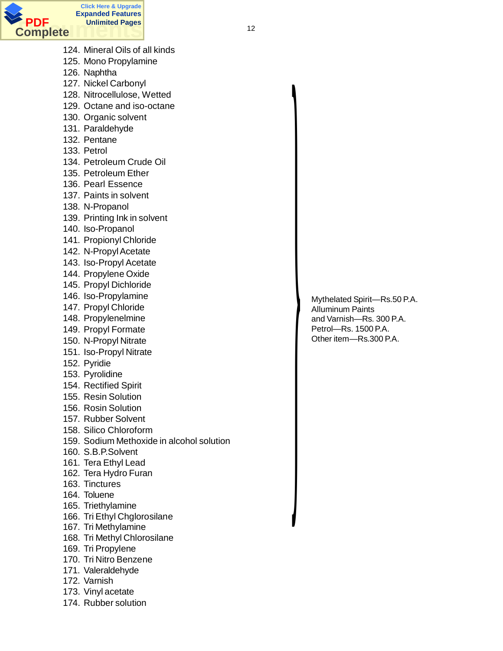

- 124. Mineral Oils of all kinds
- 125. Mono Propylamine
- 126. Naphtha
- 127. Nickel Carbonyl
- 128. Nitrocellulose, Wetted
- 129. Octane and iso-octane
- 130. Organic solvent
- 131. Paraldehyde
- 132. Pentane
- 133. Petrol
- 134. Petroleum Crude Oil
- 135. Petroleum Ether
- 136. Pearl Essence
- 137. Paints in solvent
- 138. N-Propanol
- 139. Printing Ink in solvent
- 140. Iso-Propanol
- 141. Propionyl Chloride
- 142. N-Propyl Acetate
- 143. Iso-Propyl Acetate
- 144. Propylene Oxide
- 145. Propyl Dichloride
- 146. Iso-Propylamine
- 147. Propyl Chloride
- 148. Propylenelmine
- 149. Propyl Formate
- 150. N-Propyl Nitrate
- 151. Iso-Propyl Nitrate
- 152. Pyridie
- 153. Pyrolidine
- 154. Rectified Spirit
- 155. Resin Solution
- 156. Rosin Solution
- 157. Rubber Solvent
- 158. Silico Chloroform
- 159. Sodium Methoxide in alcohol solution
- 160. S.B.P.Solvent
- 161. Tera Ethyl Lead
- 162. Tera Hydro Furan
- 163. Tinctures
- 164. Toluene
- 165. Triethylamine
- 166. Tri Ethyl Chglorosilane
- 167. Tri Methylamine
- 168. Tri Methyl Chlorosilane
- 169. Tri Propylene
- 170. Tri Nitro Benzene
- 171. Valeraldehyde
- 172. Varnish
- 173. Vinyl acetate
- 174. Rubber solution

Mythelated Spirit—Rs.50 P.A. Alluminum Paints and Varnish—Rs. 300 P.A. Petrol—Rs. 1500 P.A. Other item—Rs.300 P.A.

}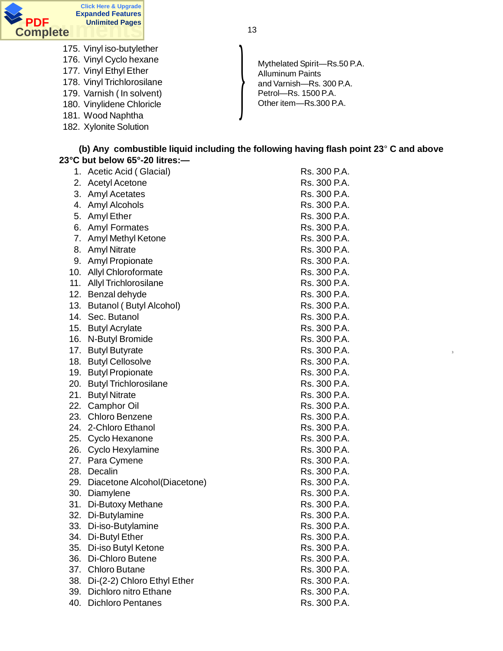

13

- 175. Vinyl iso-butylether
- 176. Vinyl Cyclo hexane
- 177. Vinyl Ethyl Ether
- 178. Vinyl Trichlorosilane
- 179. Varnish ( In solvent)
- 180. Vinylidene Chloricle
- 181. Wood Naphtha
- 182. Xylonite Solution

Performance Press, 1990 P.A.<br>Other item—Rs.300 P.A. Mythelated Spirit—Rs.50 P.A. Alluminum Paints and Varnish—Rs. 300 P.A. Petrol—Rs. 1500 P.A.

3

#### **(b) Any combustible liquid including the following having flash point 23**° **C and above 23°C but below 65°-20 litres:—**

| 1.  | Acetic Acid (Glacial)          | Rs. 300 P.A. |
|-----|--------------------------------|--------------|
| 2.  | <b>Acetyl Acetone</b>          | Rs. 300 P.A. |
| 3.  | <b>Amyl Acetates</b>           | Rs. 300 P.A. |
| 4.  | Amyl Alcohols                  | Rs. 300 P.A. |
| 5.  | Amyl Ether                     | Rs. 300 P.A. |
| 6.  | <b>Amyl Formates</b>           | Rs. 300 P.A. |
|     | 7. Amyl Methyl Ketone          | Rs. 300 P.A. |
| 8.  | <b>Amyl Nitrate</b>            | Rs. 300 P.A. |
| 9.  | Amyl Propionate                | Rs. 300 P.A. |
|     | 10. Allyl Chloroformate        | Rs. 300 P.A. |
|     | 11. Allyl Trichlorosilane      | Rs. 300 P.A. |
|     | 12. Benzal dehyde              | Rs. 300 P.A. |
| 13. | <b>Butanol (Butyl Alcohol)</b> | Rs. 300 P.A. |
| 14. | Sec. Butanol                   | Rs. 300 P.A. |
|     | 15. Butyl Acrylate             | Rs. 300 P.A. |
| 16. | N-Butyl Bromide                | Rs. 300 P.A. |
|     | 17. Butyl Butyrate             | Rs. 300 P.A. |
|     | 18. Butyl Cellosolve           | Rs. 300 P.A. |
|     | 19. Butyl Propionate           | Rs. 300 P.A. |
| 20. | <b>Butyl Trichlorosilane</b>   | Rs. 300 P.A. |
|     | 21. Butyl Nitrate              | Rs. 300 P.A. |
|     | 22. Camphor Oil                | Rs. 300 P.A. |
|     | 23. Chloro Benzene             | Rs. 300 P.A. |
|     | 24. 2-Chloro Ethanol           | Rs. 300 P.A. |
|     | 25. Cyclo Hexanone             | Rs. 300 P.A. |
|     | 26. Cyclo Hexylamine           | Rs. 300 P.A. |
|     | 27. Para Cymene                | Rs. 300 P.A. |
| 28. | Decalin                        | Rs. 300 P.A. |
| 29. | Diacetone Alcohol(Diacetone)   | Rs. 300 P.A. |
|     | 30. Diamylene                  | Rs. 300 P.A. |
|     | 31. Di-Butoxy Methane          | Rs. 300 P.A. |
|     | 32. Di-Butylamine              | Rs. 300 P.A. |
| 33. | Di-iso-Butylamine              | Rs. 300 P.A. |
| 34. | Di-Butyl Ether                 | Rs. 300 P.A. |
| 35. | Di-iso Butyl Ketone            | Rs. 300 P.A. |
| 36. | Di-Chloro Butene               | Rs. 300 P.A. |
| 37. | <b>Chloro Butane</b>           | Rs. 300 P.A. |
| 38. | Di-(2-2) Chloro Ethyl Ether    | Rs. 300 P.A. |
| 39. | Dichloro nitro Ethane          | Rs. 300 P.A. |
| 40. | <b>Dichloro Pentanes</b>       | Rs. 300 P.A. |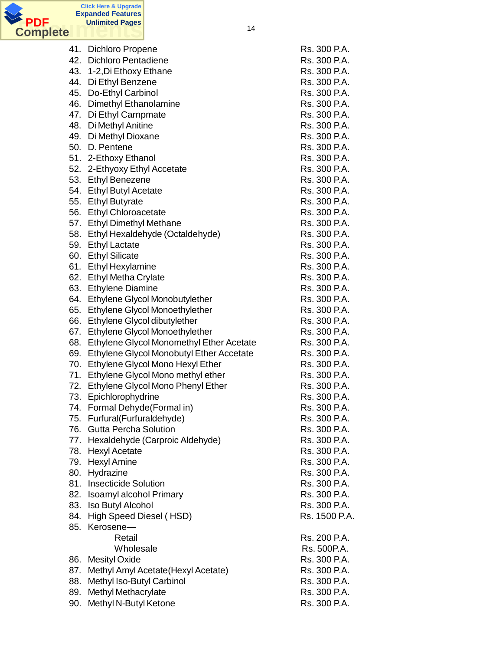

| 41. | <b>Dichloro Propene</b>                  | Rs. 300 P.A.  |
|-----|------------------------------------------|---------------|
| 42. | <b>Dichloro Pentadiene</b>               | Rs. 300 P.A.  |
|     | 43. 1-2, Di Ethoxy Ethane                | Rs. 300 P.A.  |
|     | 44. Di Ethyl Benzene                     | Rs. 300 P.A.  |
| 45. | Do-Ethyl Carbinol                        | Rs. 300 P.A.  |
|     |                                          |               |
| 46. | Dimethyl Ethanolamine                    | Rs. 300 P.A.  |
| 47. | Di Ethyl Carnpmate                       | Rs. 300 P.A.  |
| 48. | Di Methyl Anitine                        | Rs. 300 P.A.  |
| 49. | Di Methyl Dioxane                        | Rs. 300 P.A.  |
| 50. | D. Pentene                               | Rs. 300 P.A.  |
|     | 51. 2-Ethoxy Ethanol                     | Rs. 300 P.A.  |
|     | 52. 2-Ethyoxy Ethyl Accetate             | Rs. 300 P.A.  |
|     | 53. Ethyl Benezene                       | Rs. 300 P.A.  |
|     | 54. Ethyl Butyl Acetate                  | Rs. 300 P.A.  |
| 55. | <b>Ethyl Butyrate</b>                    | Rs. 300 P.A.  |
|     | 56. Ethyl Chloroacetate                  | Rs. 300 P.A.  |
|     | 57. Ethyl Dimethyl Methane               | Rs. 300 P.A.  |
|     | 58. Ethyl Hexaldehyde (Octaldehyde)      | Rs. 300 P.A.  |
| 59. | <b>Ethyl Lactate</b>                     | Rs. 300 P.A.  |
| 60. | <b>Ethyl Silicate</b>                    | Rs. 300 P.A.  |
|     | 61. Ethyl Hexylamine                     | Rs. 300 P.A.  |
|     |                                          | Rs. 300 P.A.  |
|     | 62. Ethyl Metha Crylate                  |               |
|     | 63. Ethylene Diamine                     | Rs. 300 P.A.  |
| 64. | Ethylene Glycol Monobutylether           | Rs. 300 P.A.  |
| 65. | Ethylene Glycol Monoethylether           | Rs. 300 P.A.  |
| 66. | Ethylene Glycol dibutylether             | Rs. 300 P.A.  |
| 67. | Ethylene Glycol Monoethylether           | Rs. 300 P.A.  |
| 68. | Ethylene Glycol Monomethyl Ether Acetate | Rs. 300 P.A.  |
| 69. | Ethylene Glycol Monobutyl Ether Accetate | Rs. 300 P.A.  |
| 70. | Ethylene Glycol Mono Hexyl Ether         | Rs. 300 P.A.  |
| 71. | Ethylene Glycol Mono methyl ether        | Rs. 300 P.A.  |
| 72. | Ethylene Glycol Mono Phenyl Ether        | Rs. 300 P.A.  |
| 73. | Epichlorophydrine                        | Rs. 300 P.A.  |
| 74. | Formal Dehyde(Formal in)                 | Rs. 300 P.A.  |
| 75. | Furfural(Furfuraldehyde)                 | Rs. 300 P.A.  |
| 76. | <b>Gutta Percha Solution</b>             | Rs. 300 P.A.  |
| 77. | Hexaldehyde (Carproic Aldehyde)          | Rs. 300 P.A.  |
|     | 78. Hexyl Acetate                        | Rs. 300 P.A.  |
| 79. | <b>Hexyl Amine</b>                       | Rs. 300 P.A.  |
| 80. | Hydrazine                                | Rs. 300 P.A.  |
| 81. | <b>Insecticide Solution</b>              | Rs. 300 P.A.  |
| 82. | Isoamyl alcohol Primary                  | Rs. 300 P.A.  |
|     |                                          | Rs. 300 P.A.  |
| 83. | Iso Butyl Alcohol                        |               |
| 84. | High Speed Diesel (HSD)                  | Rs. 1500 P.A. |
| 85. | Kerosene-                                |               |
|     | Retail                                   | Rs. 200 P.A.  |
|     | Wholesale                                | Rs. 500P.A.   |
| 86. | <b>Mesityl Oxide</b>                     | Rs. 300 P.A.  |
| 87. | Methyl Amyl Acetate (Hexyl Acetate)      | Rs. 300 P.A.  |
| 88. | Methyl Iso-Butyl Carbinol                | Rs. 300 P.A.  |
| 89. | <b>Methyl Methacrylate</b>               | Rs. 300 P.A.  |
| 90. | Methyl N-Butyl Ketone                    | Rs. 300 P.A.  |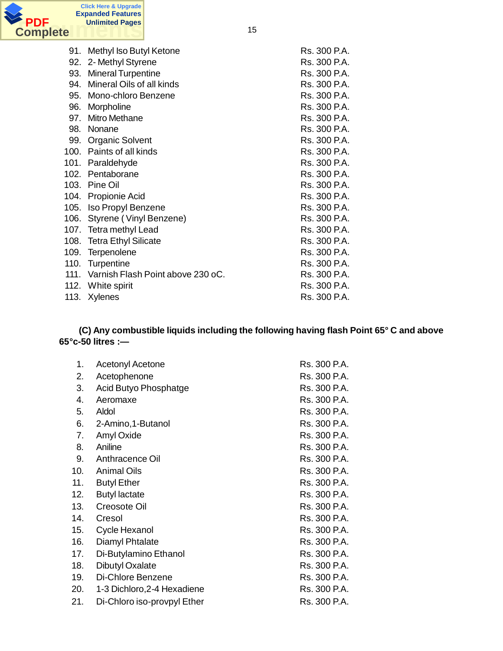

| 91.  | Methyl Iso Butyl Ketone                | Rs. 300 P.A. |
|------|----------------------------------------|--------------|
| 92.  | 2- Methyl Styrene                      | Rs. 300 P.A. |
| 93.  | <b>Mineral Turpentine</b>              | Rs. 300 P.A. |
| 94.  | Mineral Oils of all kinds              | Rs. 300 P.A. |
| 95.  | Mono-chloro Benzene                    | Rs. 300 P.A. |
| 96.  | Morpholine                             | Rs. 300 P.A. |
| 97.  | <b>Mitro Methane</b>                   | Rs. 300 P.A. |
| 98.  | Nonane                                 | Rs. 300 P.A. |
| 99.  | <b>Organic Solvent</b>                 | Rs. 300 P.A. |
|      | 100. Paints of all kinds               | Rs. 300 P.A. |
| 101. | Paraldehyde                            | Rs. 300 P.A. |
|      | 102. Pentaborane                       | Rs. 300 P.A. |
|      | 103. Pine Oil                          | Rs. 300 P.A. |
|      | 104. Propionie Acid                    | Rs. 300 P.A. |
|      | 105. Iso Propyl Benzene                | Rs. 300 P.A. |
|      | 106. Styrene (Vinyl Benzene)           | Rs. 300 P.A. |
|      | 107. Tetra methyl Lead                 | Rs. 300 P.A. |
|      | 108. Tetra Ethyl Silicate              | Rs. 300 P.A. |
| 109. | Terpenolene                            | Rs. 300 P.A. |
| 110. | Turpentine                             | Rs. 300 P.A. |
|      | 111. Varnish Flash Point above 230 oC. | Rs. 300 P.A. |
| 112. | White spirit                           | Rs. 300 P.A. |
| 113. | Xylenes                                | Rs. 300 P.A. |

#### **(C) Any combustible liquids including the following having flash Point 65° C and above 65°c-50 litres :—**

| 1.  | <b>Acetonyl Acetone</b>     | Rs. 300 P.A. |
|-----|-----------------------------|--------------|
| 2.  | Acetophenone                | Rs. 300 P.A. |
| 3.  | Acid Butyo Phosphatge       | Rs. 300 P.A. |
| 4.  | Aeromaxe                    | Rs. 300 P.A. |
| 5.  | Aldol                       | Rs. 300 P.A. |
| 6.  | 2-Amino, 1-Butanol          | Rs. 300 P.A. |
| 7.  | Amyl Oxide                  | Rs. 300 P.A. |
| 8.  | Aniline                     | Rs. 300 P.A. |
| 9.  | Anthracence Oil             | Rs. 300 P.A. |
| 10. | <b>Animal Oils</b>          | Rs. 300 P.A. |
| 11. | <b>Butyl Ether</b>          | Rs. 300 P.A. |
| 12. | <b>Butyl lactate</b>        | Rs. 300 P.A. |
| 13. | Creosote Oil                | Rs. 300 P.A. |
| 14. | Cresol                      | Rs. 300 P.A. |
| 15. | Cycle Hexanol               | Rs. 300 P.A. |
| 16. | Diamyl Phtalate             | Rs. 300 P.A. |
| 17. | Di-Butylamino Ethanol       | Rs. 300 P.A. |
| 18. | <b>Dibutyl Oxalate</b>      | Rs. 300 P.A. |
| 19. | Di-Chlore Benzene           | Rs. 300 P.A. |
| 20. | 1-3 Dichloro, 2-4 Hexadiene | Rs. 300 P.A. |
| 21. | Di-Chloro iso-provpyl Ether | Rs. 300 P.A. |
|     |                             |              |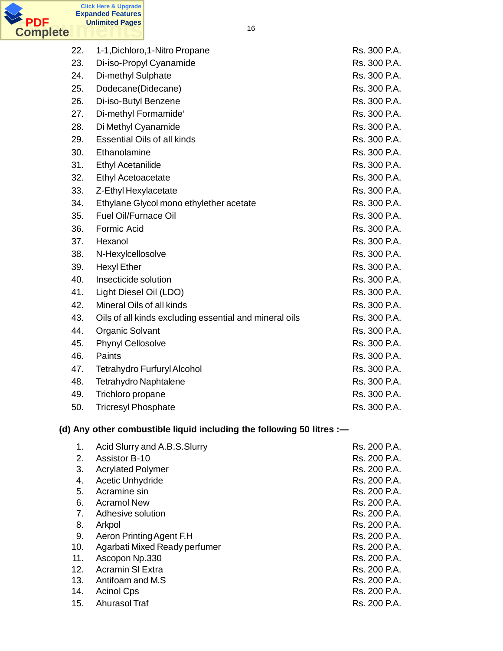

| 22. | 1-1, Dichloro, 1-Nitro Propane                                        | Rs. 300 P.A. |
|-----|-----------------------------------------------------------------------|--------------|
| 23. | Di-iso-Propyl Cyanamide                                               | Rs. 300 P.A. |
| 24. | Di-methyl Sulphate                                                    | Rs. 300 P.A. |
| 25. | Dodecane(Didecane)                                                    | Rs. 300 P.A. |
| 26. | Di-iso-Butyl Benzene                                                  | Rs. 300 P.A. |
| 27. | Di-methyl Formamide'                                                  | Rs. 300 P.A. |
| 28. | Di Methyl Cyanamide                                                   | Rs. 300 P.A. |
| 29. | <b>Essential Oils of all kinds</b>                                    | Rs. 300 P.A. |
| 30. | Ethanolamine                                                          | Rs. 300 P.A. |
| 31. | <b>Ethyl Acetanilide</b>                                              | Rs. 300 P.A. |
| 32. | Ethyl Acetoacetate                                                    | Rs. 300 P.A. |
| 33. | Z-Ethyl Hexylacetate                                                  | Rs. 300 P.A. |
| 34. | Ethylane Glycol mono ethylether acetate                               | Rs. 300 P.A. |
| 35. | <b>Fuel Oil/Furnace Oil</b>                                           | Rs. 300 P.A. |
| 36. | Formic Acid                                                           | Rs. 300 P.A. |
| 37. | Hexanol                                                               | Rs. 300 P.A. |
| 38. | N-Hexylcellosolve                                                     | Rs. 300 P.A. |
| 39. | <b>Hexyl Ether</b>                                                    | Rs. 300 P.A. |
| 40. | Insecticide solution                                                  | Rs. 300 P.A. |
| 41. | Light Diesel Oil (LDO)                                                | Rs. 300 P.A. |
| 42. | Mineral Oils of all kinds                                             | Rs. 300 P.A. |
| 43. | Oils of all kinds excluding essential and mineral oils                | Rs. 300 P.A. |
| 44. | <b>Organic Solvant</b>                                                | Rs. 300 P.A. |
| 45. | Phynyl Cellosolve                                                     | Rs. 300 P.A. |
| 46. | Paints                                                                | Rs. 300 P.A. |
| 47. | <b>Tetrahydro Furfuryl Alcohol</b>                                    | Rs. 300 P.A. |
| 48. | <b>Tetrahydro Naphtalene</b>                                          | Rs. 300 P.A. |
| 49. | Trichloro propane                                                     | Rs. 300 P.A. |
| 50. | <b>Tricresyl Phosphate</b>                                            | Rs. 300 P.A. |
|     | (d) Any other combustible liquid including the following 50 litres :- |              |

| 1.  | Acid Slurry and A.B.S.Slurry  | Rs. 200 P.A. |
|-----|-------------------------------|--------------|
| 2.  | <b>Assistor B-10</b>          | Rs. 200 P.A. |
| 3.  | <b>Acrylated Polymer</b>      | Rs. 200 P.A. |
| 4.  | <b>Acetic Unhydride</b>       | Rs. 200 P.A. |
| 5.  | Acramine sin                  | Rs. 200 P.A. |
| 6.  | <b>Acramol New</b>            | Rs. 200 P.A. |
| 7.  | Adhesive solution             | Rs. 200 P.A. |
| 8.  | Arkpol                        | Rs. 200 P.A. |
| 9.  | Aeron Printing Agent F.H.     | Rs. 200 P.A. |
| 10. | Agarbati Mixed Ready perfumer | Rs. 200 P.A. |
| 11. | Ascopon Np.330                | Rs. 200 P.A. |
| 12. | <b>Acramin SI Extra</b>       | Rs. 200 P.A. |
| 13. | Antifoam and M.S.             | Rs. 200 P.A. |
| 14. | <b>Acinol Cps</b>             | Rs. 200 P.A. |
| 15. | <b>Ahurasol Traf</b>          | Rs. 200 P.A. |
|     |                               |              |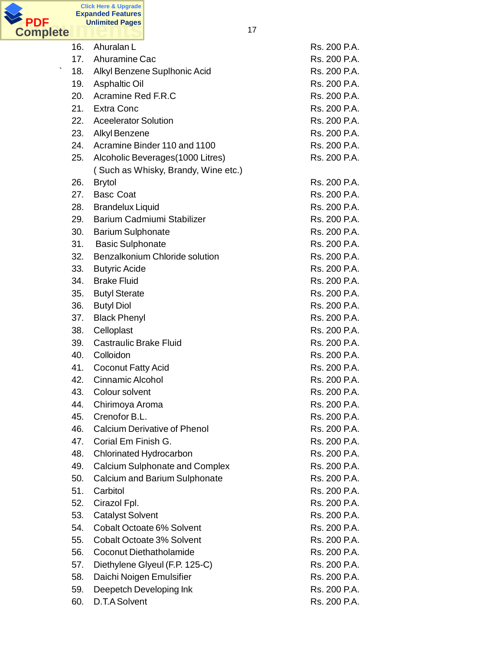

|         | 16. | Ahuralan L                            | Rs. 200 P.A. |
|---------|-----|---------------------------------------|--------------|
|         |     | 17. Ahuramine Cac                     | Rs. 200 P.A. |
| $\cdot$ | 18. | Alkyl Benzene Suplhonic Acid          | Rs. 200 P.A. |
|         | 19. | <b>Asphaltic Oil</b>                  | Rs. 200 P.A. |
|         | 20. | Acramine Red F.R.C                    | Rs. 200 P.A. |
|         |     | 21. Extra Conc                        | Rs. 200 P.A. |
|         | 22. | <b>Aceelerator Solution</b>           | Rs. 200 P.A. |
|         | 23. | Alkyl Benzene                         | Rs. 200 P.A. |
|         | 24. | Acramine Binder 110 and 1100          | Rs. 200 P.A. |
|         | 25. | Alcoholic Beverages (1000 Litres)     | Rs. 200 P.A. |
|         |     | (Such as Whisky, Brandy, Wine etc.)   |              |
|         | 26. | <b>Brytol</b>                         | Rs. 200 P.A. |
|         | 27. | <b>Basc Coat</b>                      | Rs. 200 P.A. |
|         | 28. | <b>Brandelux Liquid</b>               | Rs. 200 P.A. |
|         | 29. | Barium Cadmiumi Stabilizer            | Rs. 200 P.A. |
|         | 30. | <b>Barium Sulphonate</b>              | Rs. 200 P.A. |
|         |     | 31. Basic Sulphonate                  | Rs. 200 P.A. |
|         | 32. | Benzalkonium Chloride solution        | Rs. 200 P.A. |
|         | 33. | <b>Butyric Acide</b>                  | Rs. 200 P.A. |
|         | 34. | <b>Brake Fluid</b>                    | Rs. 200 P.A. |
|         | 35. | <b>Butyl Sterate</b>                  | Rs. 200 P.A. |
|         | 36. | <b>Butyl Diol</b>                     | Rs. 200 P.A. |
|         | 37. | <b>Black Phenyl</b>                   | Rs. 200 P.A. |
|         | 38. | Celloplast                            | Rs. 200 P.A. |
|         | 39. | <b>Castraulic Brake Fluid</b>         | Rs. 200 P.A. |
|         | 40. | Colloidon                             | Rs. 200 P.A. |
|         | 41. | <b>Coconut Fatty Acid</b>             | Rs. 200 P.A. |
|         | 42. | <b>Cinnamic Alcohol</b>               | Rs. 200 P.A. |
|         | 43. | Colour solvent                        | Rs. 200 P.A. |
|         | 44. | Chirimoya Aroma                       | Rs. 200 P.A. |
|         | 45. | Crenofor B.L.                         | Rs. 200 P.A. |
|         | 46. | <b>Calcium Derivative of Phenol</b>   | Rs. 200 P.A. |
|         | 47. | Corial Em Finish G.                   | Rs. 200 P.A. |
|         | 48. | Chlorinated Hydrocarbon               | Rs. 200 P.A. |
|         | 49. | <b>Calcium Sulphonate and Complex</b> | Rs. 200 P.A. |
|         | 50. | Calcium and Barium Sulphonate         | Rs. 200 P.A. |
|         | 51. | Carbitol                              | Rs. 200 P.A. |
|         | 52. | Cirazol Fpl.                          | Rs. 200 P.A. |
|         | 53. | <b>Catalyst Solvent</b>               | Rs. 200 P.A. |
|         | 54. | Cobalt Octoate 6% Solvent             | Rs. 200 P.A. |
|         | 55. | <b>Cobalt Octoate 3% Solvent</b>      | Rs. 200 P.A. |
|         | 56. | Coconut Diethatholamide               | Rs. 200 P.A. |
|         | 57. | Diethylene Glyeul (F.P. 125-C)        | Rs. 200 P.A. |
|         | 58. | Daichi Noigen Emulsifier              | Rs. 200 P.A. |
|         | 59. | Deepetch Developing Ink               | Rs. 200 P.A. |
|         | 60. | D.T.A Solvent                         | Rs. 200 P.A. |
|         |     |                                       |              |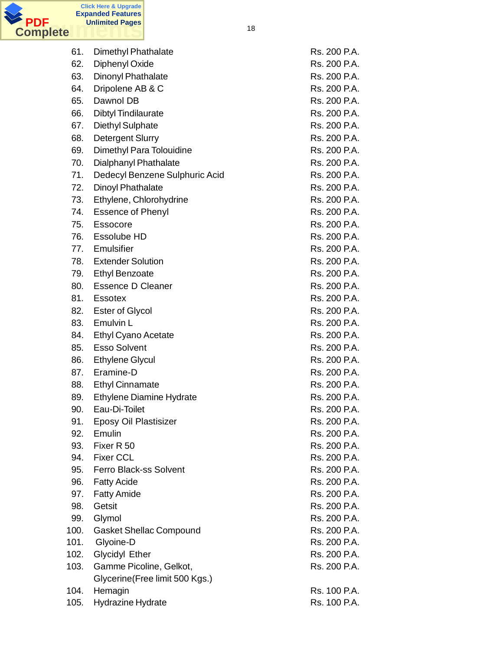

| 61.  | <b>Dimethyl Phathalate</b>      | Rs. 200 P.A. |
|------|---------------------------------|--------------|
| 62.  | Diphenyl Oxide                  | Rs. 200 P.A. |
| 63.  | Dinonyl Phathalate              | Rs. 200 P.A. |
| 64.  | Dripolene AB & C                | Rs. 200 P.A. |
| 65.  | Dawnol DB                       | Rs. 200 P.A. |
| 66.  | <b>Dibtyl Tindilaurate</b>      | Rs. 200 P.A. |
| 67.  | Diethyl Sulphate                | Rs. 200 P.A. |
| 68.  | <b>Detergent Slurry</b>         | Rs. 200 P.A. |
| 69.  | Dimethyl Para Tolouidine        | Rs. 200 P.A. |
| 70.  | Dialphanyl Phathalate           | Rs. 200 P.A. |
| 71.  | Dedecyl Benzene Sulphuric Acid  | Rs. 200 P.A. |
| 72.  | Dinoyl Phathalate               | Rs. 200 P.A. |
| 73.  | Ethylene, Chlorohydrine         | Rs. 200 P.A. |
| 74.  | <b>Essence of Phenyl</b>        | Rs. 200 P.A. |
| 75.  | Essocore                        | Rs. 200 P.A. |
| 76.  | Essolube HD                     | Rs. 200 P.A. |
| 77.  | Emulsifier                      | Rs. 200 P.A. |
| 78.  | <b>Extender Solution</b>        | Rs. 200 P.A. |
| 79.  | <b>Ethyl Benzoate</b>           | Rs. 200 P.A. |
| 80.  | <b>Essence D Cleaner</b>        | Rs. 200 P.A. |
| 81.  | <b>Essotex</b>                  | Rs. 200 P.A. |
| 82.  | <b>Ester of Glycol</b>          | Rs. 200 P.A. |
| 83.  | Emulvin L                       | Rs. 200 P.A. |
| 84.  | <b>Ethyl Cyano Acetate</b>      | Rs. 200 P.A. |
| 85.  | <b>Esso Solvent</b>             | Rs. 200 P.A. |
| 86.  | <b>Ethylene Glycul</b>          | Rs. 200 P.A. |
| 87.  | Eramine-D                       | Rs. 200 P.A. |
| 88.  | <b>Ethyl Cinnamate</b>          | Rs. 200 P.A. |
| 89.  | <b>Ethylene Diamine Hydrate</b> | Rs. 200 P.A. |
| 90.  | Eau-Di-Toilet                   | Rs. 200 P.A. |
| 91.  | Eposy Oil Plastisizer           | Rs. 200 P.A. |
| 92.  | Emulin                          | Rs. 200 P.A. |
| 93.  | Fixer R 50                      | Rs. 200 P.A. |
| 94.  | <b>Fixer CCL</b>                | Rs. 200 P.A. |
| 95.  | <b>Ferro Black-ss Solvent</b>   | Rs. 200 P.A. |
| 96.  | <b>Fatty Acide</b>              | Rs. 200 P.A. |
| 97.  | <b>Fatty Amide</b>              | Rs. 200 P.A. |
| 98.  | Getsit                          | Rs. 200 P.A. |
| 99.  | Glymol                          | Rs. 200 P.A. |
| 100. | <b>Gasket Shellac Compound</b>  | Rs. 200 P.A. |
| 101. | Glyoine-D                       | Rs. 200 P.A. |
| 102. | <b>Glycidyl Ether</b>           | Rs. 200 P.A. |
| 103. | Gamme Picoline, Gelkot,         | Rs. 200 P.A. |
|      | Glycerine (Free limit 500 Kgs.) |              |
| 104. | Hemagin                         | Rs. 100 P.A. |
| 105. | Hydrazine Hydrate               | Rs. 100 P.A. |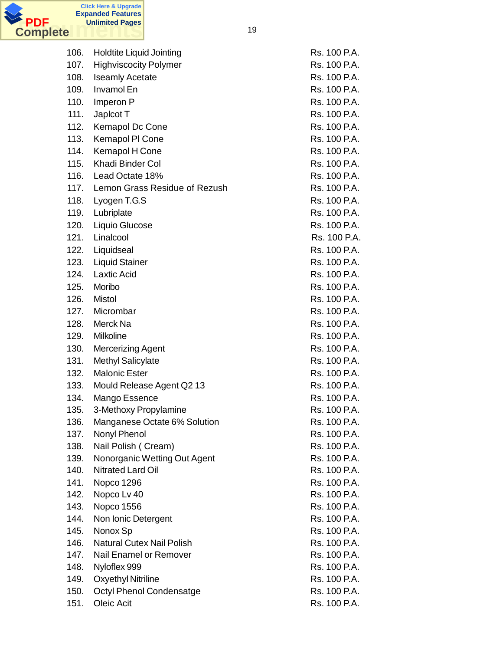

| 106. | <b>Holdtite Liquid Jointing</b>  | Rs. 100 P.A. |
|------|----------------------------------|--------------|
| 107. | <b>Highviscocity Polymer</b>     | Rs. 100 P.A. |
| 108. | <b>Iseamly Acetate</b>           | Rs. 100 P.A. |
| 109. | Invamol En                       | Rs. 100 P.A. |
| 110. | Imperon P                        | Rs. 100 P.A. |
| 111. | Japicot T                        | Rs. 100 P.A. |
| 112. | <b>Kemapol Dc Cone</b>           | Rs. 100 P.A. |
| 113. | Kemapol PI Cone                  | Rs. 100 P.A. |
| 114. | Kemapol H Cone                   | Rs. 100 P.A. |
| 115. | Khadi Binder Col                 | Rs. 100 P.A. |
| 116. | Lead Octate 18%                  | Rs. 100 P.A. |
| 117. | Lemon Grass Residue of Rezush    | Rs. 100 P.A. |
| 118. | Lyogen T.G.S                     | Rs. 100 P.A. |
| 119. | Lubriplate                       | Rs. 100 P.A. |
| 120. | Liquio Glucose                   | Rs. 100 P.A. |
| 121. | Linalcool                        | Rs. 100 P.A. |
| 122. | Liquidseal                       | Rs. 100 P.A. |
| 123. | <b>Liquid Stainer</b>            | Rs. 100 P.A. |
| 124. | <b>Laxtic Acid</b>               | Rs. 100 P.A. |
| 125. | Moribo                           | Rs. 100 P.A. |
| 126. | Mistol                           | Rs. 100 P.A. |
| 127. | Micrombar                        | Rs. 100 P.A. |
| 128. | Merck Na                         | Rs. 100 P.A. |
| 129. | Milkoline                        | Rs. 100 P.A. |
| 130. | <b>Mercerizing Agent</b>         | Rs. 100 P.A. |
| 131. | <b>Methyl Salicylate</b>         | Rs. 100 P.A. |
| 132. | <b>Malonic Ester</b>             | Rs. 100 P.A. |
| 133. | Mould Release Agent Q2 13        | Rs. 100 P.A. |
| 134. | Mango Essence                    | Rs. 100 P.A. |
| 135. | 3-Methoxy Propylamine            | Rs. 100 P.A. |
| 136. | Manganese Octate 6% Solution     | Rs. 100 P.A. |
| 137. | Nonyl Phenol                     | Rs. 100 P.A. |
| 138. | Nail Polish (Cream)              | Rs. 100 P.A. |
| 139. | Nonorganic Wetting Out Agent     | Rs. 100 P.A. |
| 140. | Nitrated Lard Oil                | Rs. 100 P.A. |
| 141. | Nopco 1296                       | Rs. 100 P.A. |
| 142. | Nopco Lv 40                      | Rs. 100 P.A. |
| 143. | <b>Nopco 1556</b>                | Rs. 100 P.A. |
| 144. | Non Ionic Detergent              | Rs. 100 P.A. |
| 145. | Nonox Sp                         | Rs. 100 P.A. |
| 146. | <b>Natural Cutex Nail Polish</b> | Rs. 100 P.A. |
| 147. | Nail Enamel or Remover           | Rs. 100 P.A. |
| 148. | Nyloflex 999                     | Rs. 100 P.A. |
| 149. | <b>Oxyethyl Nitriline</b>        | Rs. 100 P.A. |
| 150. | Octyl Phenol Condensatge         | Rs. 100 P.A. |
| 151. | Oleic Acit                       | Rs. 100 P.A. |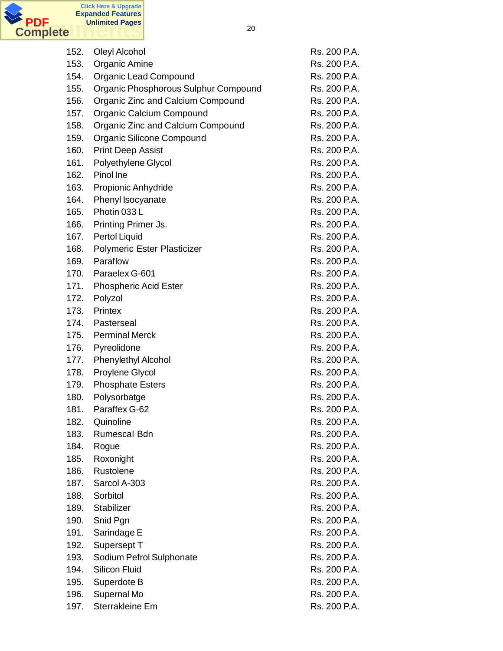

| 152. | Oleyl Alcohol                        | Rs. 200 P.A. |
|------|--------------------------------------|--------------|
| 153. | Organic Amine                        | Rs. 200 P.A. |
| 154. | Organic Lead Compound                | Rs. 200 P.A. |
| 155. | Organic Phosphorous Sulphur Compound | Rs. 200 P.A. |
| 156. | Organic Zinc and Calcium Compound    | Rs. 200 P.A. |
| 157. | Organic Calcium Compound             | Rs. 200 P.A. |
| 158. | Organic Zinc and Calcium Compound    | Rs. 200 P.A. |
| 159. | Organic Silicone Compound            | Rs. 200 P.A. |
| 160. | <b>Print Deep Assist</b>             | Rs. 200 P.A. |
| 161. | Polyethylene Glycol                  | Rs. 200 P.A. |
| 162. | Pinol Ine                            | Rs. 200 P.A. |
| 163. | Propionic Anhydride                  | Rs. 200 P.A. |
| 164. | Phenyl Isocyanate                    | Rs. 200 P.A. |
| 165. | Photin 033L                          | Rs. 200 P.A. |
| 166. | Printing Primer Js.                  | Rs. 200 P.A. |
| 167. | Pertol Liquid                        | Rs. 200 P.A. |
| 168. | Polymeric Ester Plasticizer          | Rs. 200 P.A. |
| 169. | Paraflow                             | Rs. 200 P.A. |
| 170. | Paraelex G-601                       | Rs. 200 P.A. |
| 171. | <b>Phospheric Acid Ester</b>         | Rs. 200 P.A. |
| 172. | Polyzol                              | Rs. 200 P.A. |
| 173. | Printex                              | Rs. 200 P.A. |
| 174. | Pasterseal                           | Rs. 200 P.A. |
| 175. | <b>Perminal Merck</b>                | Rs. 200 P.A. |
| 176. | Pyreolidone                          | Rs. 200 P.A. |
| 177. | Phenylethyl Alcohol                  | Rs. 200 P.A. |
| 178. | Proylene Glycol                      | Rs. 200 P.A. |
| 179. | <b>Phosphate Esters</b>              | Rs. 200 P.A. |
| 180. | Polysorbatge                         | Rs. 200 P.A. |
| 181. | Paraffex G-62                        | Rs. 200 P.A. |
| 182. | Quinoline                            | Rs. 200 P.A. |
| 183. | Rumescal Bdn                         | Rs. 200 P.A. |
| 184. | Rogue                                | Rs. 200 P.A. |
| 185. | Roxonight                            | Rs. 200 P.A. |
| 186. | Rustolene                            | Rs. 200 P.A. |
| 187. | Sarcol A-303                         | Rs. 200 P.A. |
| 188. | Sorbitol                             | Rs. 200 P.A. |
| 189. | Stabilizer                           | Rs. 200 P.A. |
| 190. | Snid Pgn                             | Rs. 200 P.A. |
| 191. | Sarindage E                          | Rs. 200 P.A. |
| 192. | Supersept T                          | Rs. 200 P.A. |
| 193. | Sodium Pefrol Sulphonate             | Rs. 200 P.A. |
| 194. | <b>Silicon Fluid</b>                 | Rs. 200 P.A. |
| 195. | Superdote B                          | Rs. 200 P.A. |
| 196. | Supernal Mo                          | Rs. 200 P.A. |
| 197. | Sterrakleine Em                      | Rs. 200 P.A. |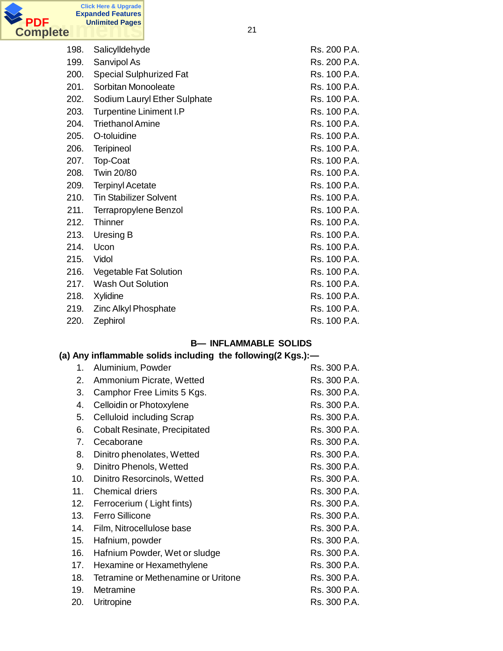

| 198. | Salicylldehyde                 | Rs. 200 P.A. |
|------|--------------------------------|--------------|
| 199. | Sanvipol As                    | Rs. 200 P.A. |
| 200. | <b>Special Sulphurized Fat</b> | Rs. 100 P.A. |
| 201. | Sorbitan Monooleate            | Rs. 100 P.A. |
| 202. | Sodium Lauryl Ether Sulphate   | Rs. 100 P.A. |
| 203. | <b>Turpentine Liniment I.P</b> | Rs. 100 P.A. |
| 204. | <b>Triethanol Amine</b>        | Rs. 100 P.A. |
| 205. | O-toluidine                    | Rs. 100 P.A. |
| 206. | Teripineol                     | Rs. 100 P.A. |
| 207. | Top-Coat                       | Rs. 100 P.A. |
| 208. | Twin 20/80                     | Rs. 100 P.A. |
| 209. | <b>Terpinyl Acetate</b>        | Rs. 100 P.A. |
| 210. | <b>Tin Stabilizer Solvent</b>  | Rs. 100 P.A. |
| 211. | <b>Terrapropylene Benzol</b>   | Rs. 100 P.A. |
| 212. | Thinner                        | Rs. 100 P.A. |
| 213. | Uresing B                      | Rs. 100 P.A. |
| 214. | Ucon                           | Rs. 100 P.A. |
| 215. | Vidol                          | Rs. 100 P.A. |
| 216. | Vegetable Fat Solution         | Rs. 100 P.A. |
| 217. | Wash Out Solution              | Rs. 100 P.A. |
| 218. | Xylidine                       | Rs. 100 P.A. |
| 219. | Zinc Alkyl Phosphate           | Rs. 100 P.A. |
| 220. | Zephirol                       | Rs. 100 P.A. |

### **B— INFLAMMABLE SOLIDS**

# **(a) Any inflammable solids including the following(2 Kgs.):—**

| 1.  | Aluminium, Powder                    | Rs. 300 P.A. |
|-----|--------------------------------------|--------------|
| 2.  | Ammonium Picrate, Wetted             | Rs. 300 P.A. |
| 3.  | Camphor Free Limits 5 Kgs.           | Rs. 300 P.A. |
| 4.  | Celloidin or Photoxylene             | Rs. 300 P.A. |
| 5.  | Celluloid including Scrap            | Rs. 300 P.A. |
| 6.  | <b>Cobalt Resinate, Precipitated</b> | Rs. 300 P.A. |
| 7.  | Cecaborane                           | Rs. 300 P.A. |
| 8.  | Dinitro phenolates, Wetted           | Rs. 300 P.A. |
| 9.  | Dinitro Phenols, Wetted              | Rs. 300 P.A. |
| 10. | Dinitro Resorcinols, Wetted          | Rs. 300 P.A. |
| 11. | <b>Chemical driers</b>               | Rs. 300 P.A. |
| 12. | Ferrocerium (Light fints)            | Rs. 300 P.A. |
| 13. | <b>Ferro Sillicone</b>               | Rs. 300 P.A. |
| 14. | Film, Nitrocellulose base            | Rs. 300 P.A. |
| 15. | Hafnium, powder                      | Rs. 300 P.A. |
| 16. | Hafnium Powder, Wet or sludge        | Rs. 300 P.A. |
| 17. | Hexamine or Hexamethylene            | Rs. 300 P.A. |
| 18. | Tetramine or Methenamine or Uritone  | Rs. 300 P.A. |
| 19. | Metramine                            | Rs. 300 P.A. |
| 20. | Uritropine                           | Rs. 300 P.A. |
|     |                                      |              |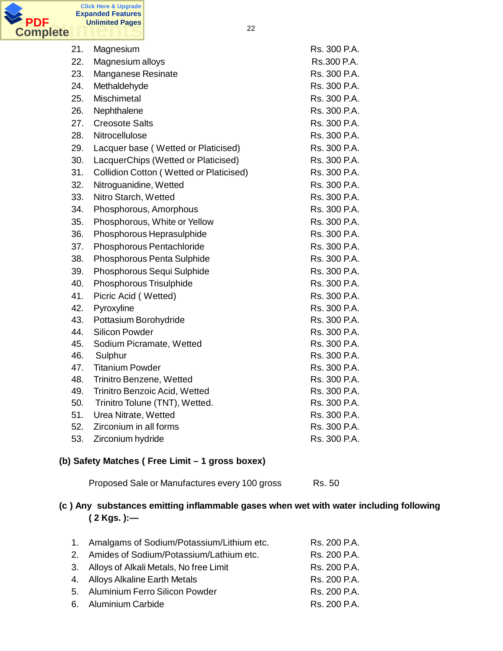

| 21. | Magnesium                                      | Rs. 300 P.A. |
|-----|------------------------------------------------|--------------|
| 22. | Magnesium alloys                               | Rs.300 P.A.  |
| 23. | Manganese Resinate                             | Rs. 300 P.A. |
| 24. | Methaldehyde                                   | Rs. 300 P.A. |
| 25. | Mischimetal                                    | Rs. 300 P.A. |
| 26. | Nephthalene                                    | Rs. 300 P.A. |
| 27. | <b>Creosote Salts</b>                          | Rs. 300 P.A. |
| 28. | Nitrocellulose                                 | Rs. 300 P.A. |
| 29. | Lacquer base (Wetted or Platicised)            | Rs. 300 P.A. |
| 30. | LacquerChips (Wetted or Platicised)            | Rs. 300 P.A. |
| 31. | <b>Collidion Cotton (Wetted or Platicised)</b> | Rs. 300 P.A. |
| 32. | Nitroguanidine, Wetted                         | Rs. 300 P.A. |
| 33. | Nitro Starch, Wetted                           | Rs. 300 P.A. |
| 34. | Phosphorous, Amorphous                         | Rs. 300 P.A. |
| 35. | Phosphorous, White or Yellow                   | Rs. 300 P.A. |
| 36. | Phosphorous Heprasulphide                      | Rs. 300 P.A. |
| 37. | Phosphorous Pentachloride                      | Rs. 300 P.A. |
| 38. | Phosphorous Penta Sulphide                     | Rs. 300 P.A. |
| 39. | Phosphorous Sequi Sulphide                     | Rs. 300 P.A. |
| 40. | Phosphorous Trisulphide                        | Rs. 300 P.A. |
| 41. | Picric Acid (Wetted)                           | Rs. 300 P.A. |
| 42. | Pyroxyline                                     | Rs. 300 P.A. |
| 43. | Pottasium Borohydride                          | Rs. 300 P.A. |
| 44. | <b>Silicon Powder</b>                          | Rs. 300 P.A. |
| 45. | Sodium Picramate, Wetted                       | Rs. 300 P.A. |
| 46. | Sulphur                                        | Rs. 300 P.A. |
| 47. | <b>Titanium Powder</b>                         | Rs. 300 P.A. |
| 48. | Trinitro Benzene, Wetted                       | Rs. 300 P.A. |
| 49. | Trinitro Benzoic Acid, Wetted                  | Rs. 300 P.A. |
| 50. | Trinitro Tolune (TNT), Wetted.                 | Rs. 300 P.A. |
| 51. | Urea Nitrate, Wetted                           | Rs. 300 P.A. |
| 52. | Zirconium in all forms                         | Rs. 300 P.A. |
| 53. | Zirconium hydride                              | Rs. 300 P.A. |

#### **(b) Safety Matches ( Free Limit – 1 gross boxex)**

Proposed Sale or Manufactures every 100 gross Rs. 50

# **(c ) Any substances emitting inflammable gases when wet with water including following ( 2 Kgs. ):—**

| 1. Amalgams of Sodium/Potassium/Lithium etc. | Rs. 200 P.A. |
|----------------------------------------------|--------------|
| 2. Amides of Sodium/Potassium/Lathium etc.   | Rs. 200 P.A. |
| 3. Alloys of Alkali Metals, No free Limit    | Rs. 200 P.A. |
| 4. Alloys Alkaline Earth Metals              | Rs. 200 P.A. |
| 5. Aluminium Ferro Silicon Powder            | Rs. 200 P.A. |
| 6. Aluminium Carbide                         | Rs. 200 P.A. |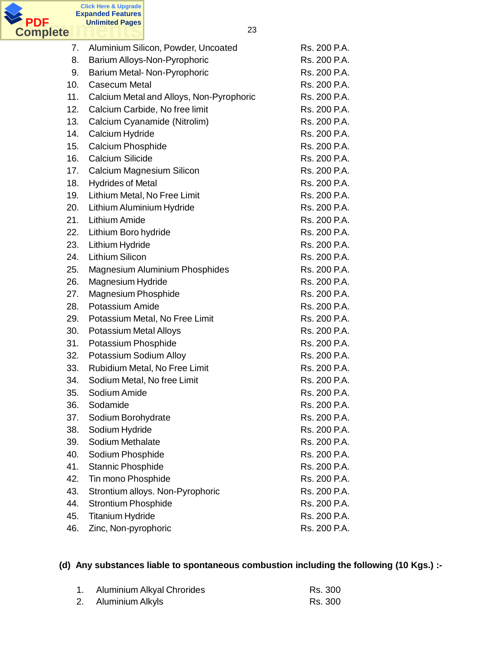

| 7.  | Aluminium Silicon, Powder, Uncoated      | Rs. 200 P.A. |
|-----|------------------------------------------|--------------|
| 8.  | Barium Alloys-Non-Pyrophoric             | Rs. 200 P.A. |
| 9.  | Barium Metal-Non-Pyrophoric              | Rs. 200 P.A. |
| 10. | <b>Casecum Metal</b>                     | Rs. 200 P.A. |
| 11. | Calcium Metal and Alloys, Non-Pyrophoric | Rs. 200 P.A. |
| 12. | Calcium Carbide, No free limit           | Rs. 200 P.A. |
| 13. | Calcium Cyanamide (Nitrolim)             | Rs. 200 P.A. |
| 14. | Calcium Hydride                          | Rs. 200 P.A. |
| 15. | <b>Calcium Phosphide</b>                 | Rs. 200 P.A. |
| 16. | Calcium Silicide                         | Rs. 200 P.A. |
| 17. | <b>Calcium Magnesium Silicon</b>         | Rs. 200 P.A. |
| 18. | <b>Hydrides of Metal</b>                 | Rs. 200 P.A. |
| 19. | Lithium Metal, No Free Limit             | Rs. 200 P.A. |
| 20. | Lithium Aluminium Hydride                | Rs. 200 P.A. |
| 21. | <b>Lithium Amide</b>                     | Rs. 200 P.A. |
| 22. | Lithium Boro hydride                     | Rs. 200 P.A. |
| 23. | Lithium Hydride                          | Rs. 200 P.A. |
| 24. | <b>Lithium Silicon</b>                   | Rs. 200 P.A. |
| 25. | <b>Magnesium Aluminium Phosphides</b>    | Rs. 200 P.A. |
| 26. | Magnesium Hydride                        | Rs. 200 P.A. |
| 27. | Magnesium Phosphide                      | Rs. 200 P.A. |
| 28. | Potassium Amide                          | Rs. 200 P.A. |
| 29. | Potassium Metal, No Free Limit           | Rs. 200 P.A. |
| 30. | <b>Potassium Metal Alloys</b>            | Rs. 200 P.A. |
| 31. | Potassium Phosphide                      | Rs. 200 P.A. |
| 32. | Potassium Sodium Alloy                   | Rs. 200 P.A. |
| 33. | Rubidium Metal, No Free Limit            | Rs. 200 P.A. |
| 34. | Sodium Metal, No free Limit              | Rs. 200 P.A. |
| 35. | Sodium Amide                             | Rs. 200 P.A. |
| 36. | Sodamide                                 | Rs. 200 P.A. |
| 37. | Sodium Borohydrate                       | Rs. 200 P.A. |
| 38. | Sodium Hydride                           | Rs. 200 P.A. |
| 39. | Sodium Methalate                         | Rs. 200 P.A. |
| 40. | Sodium Phosphide                         | Rs. 200 P.A. |
| 41. | Stannic Phosphide                        | Rs. 200 P.A. |
| 42. | Tin mono Phosphide                       | Rs. 200 P.A. |
| 43. | Strontium alloys. Non-Pyrophoric         | Rs. 200 P.A. |
| 44. | <b>Strontium Phosphide</b>               | Rs. 200 P.A. |
| 45. | <b>Titanium Hydride</b>                  | Rs. 200 P.A. |
| 46. | Zinc, Non-pyrophoric                     | Rs. 200 P.A. |

# **(d) Any substances liable to spontaneous combustion including the following (10 Kgs.) :-**

| 1. Aluminium Alkyal Chrorides | Rs. 300 |
|-------------------------------|---------|
| 2. Aluminium Alkyls           | Rs. 300 |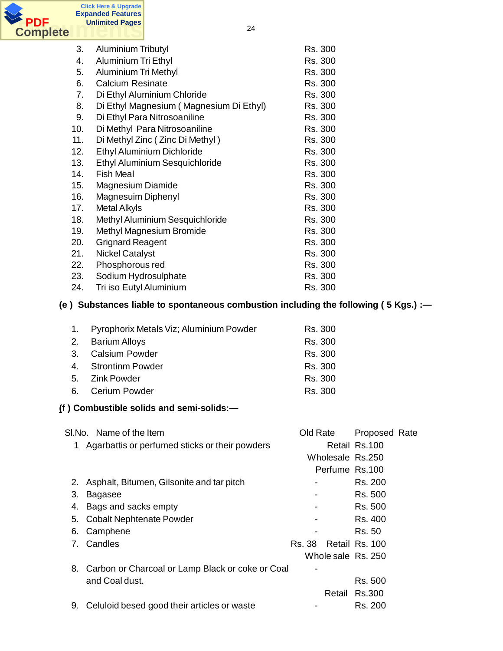

| $\sim$ |                                                                                     |                    |                |
|--------|-------------------------------------------------------------------------------------|--------------------|----------------|
| 3.     | <b>Aluminium Tributyl</b>                                                           | Rs. 300            |                |
| 4.     | Aluminium Tri Ethyl                                                                 | Rs. 300            |                |
| 5.     | <b>Aluminium Tri Methyl</b>                                                         | Rs. 300            |                |
| 6.     | <b>Calcium Resinate</b>                                                             | Rs. 300            |                |
| 7.     | Di Ethyl Aluminium Chloride                                                         | Rs. 300            |                |
| 8.     | Di Ethyl Magnesium (Magnesium Di Ethyl)                                             | Rs. 300            |                |
| 9.     | Di Ethyl Para Nitrosoaniline                                                        | Rs. 300            |                |
| 10.    | Di Methyl Para Nitrosoaniline                                                       | Rs. 300            |                |
| 11.    | Di Methyl Zinc (Zinc Di Methyl)                                                     | Rs. 300            |                |
| 12.    | Ethyl Aluminium Dichloride                                                          | Rs. 300            |                |
| 13.    | Ethyl Aluminium Sesquichloride                                                      | Rs. 300            |                |
| 14.    | <b>Fish Meal</b>                                                                    | Rs. 300            |                |
| 15.    | Magnesium Diamide                                                                   | Rs. 300            |                |
| 16.    | Magnesuim Diphenyl                                                                  | Rs. 300            |                |
| 17.    | <b>Metal Alkyls</b>                                                                 | Rs. 300            |                |
| 18.    | Methyl Aluminium Sesquichloride                                                     | Rs. 300            |                |
| 19.    | Methyl Magnesium Bromide                                                            | Rs. 300            |                |
| 20.    | <b>Grignard Reagent</b>                                                             | Rs. 300            |                |
| 21.    | <b>Nickel Catalyst</b>                                                              | Rs. 300            |                |
| 22.    | Phosphorous red                                                                     | Rs. 300            |                |
| 23.    | Sodium Hydrosulphate                                                                | Rs. 300            |                |
| 24.    | Tri iso Eutyl Aluminium                                                             | Rs. 300            |                |
|        | (e) Substances liable to spontaneous combustion including the following (5 Kgs.) :- |                    |                |
|        |                                                                                     |                    |                |
| 1.     | Pyrophorix Metals Viz; Aluminium Powder                                             | Rs. 300            |                |
| 2.     | <b>Barium Alloys</b>                                                                | Rs. 300            |                |
| 3.     | <b>Calsium Powder</b>                                                               | Rs. 300            |                |
| 4.     | <b>Strontinm Powder</b>                                                             | Rs. 300            |                |
| 5.     | <b>Zink Powder</b>                                                                  | Rs. 300            |                |
| 6.     | <b>Cerium Powder</b>                                                                | Rs. 300            |                |
|        |                                                                                     |                    |                |
|        | (f) Combustible solids and semi-solids:-                                            |                    |                |
|        |                                                                                     |                    |                |
|        | SI.No. Name of the Item                                                             | Old Rate           | Proposed Rate  |
| 1      | Agarbattis or perfumed sticks or their powders                                      |                    | Retail Rs.100  |
|        |                                                                                     | Wholesale Rs.250   |                |
|        |                                                                                     | Perfume Rs.100     |                |
| 2.     | Asphalt, Bitumen, Gilsonite and tar pitch                                           |                    | Rs. 200        |
| 3.     | <b>Bagasee</b>                                                                      |                    | Rs. 500        |
| 4.     | Bags and sacks empty                                                                |                    | Rs. 500        |
| 5.     | <b>Cobalt Nephtenate Powder</b>                                                     |                    | Rs. 400        |
| 6.     | Camphene                                                                            |                    | Rs. 50         |
| 7.     | Candles                                                                             | <b>Rs. 38</b>      | Retail Rs. 100 |
|        |                                                                                     | Whole sale Rs. 250 |                |
|        |                                                                                     |                    |                |
|        | 8. Carbon or Charcoal or Lamp Black or coke or Coal                                 |                    |                |
|        | and Coal dust.                                                                      |                    | Rs. 500        |
|        |                                                                                     | Retail             | Rs.300         |
|        | 9. Celuloid besed good their articles or waste                                      |                    | Rs. 200        |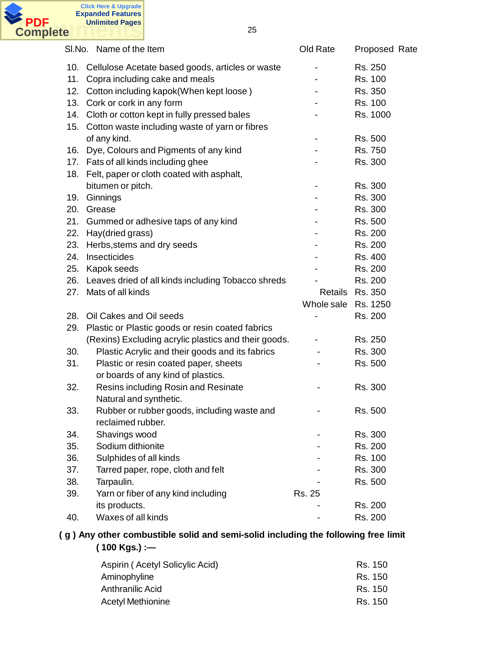

|     | SI.No. Name of the Item                              | Old Rate            | Proposed Rate   |
|-----|------------------------------------------------------|---------------------|-----------------|
|     | 10. Cellulose Acetate based goods, articles or waste |                     | Rs. 250         |
| 11. | Copra including cake and meals                       |                     | Rs. 100         |
|     | 12. Cotton including kapok(When kept loose)          |                     | Rs. 350         |
| 13. | Cork or cork in any form                             |                     | Rs. 100         |
|     | 14. Cloth or cotton kept in fully pressed bales      |                     | Rs. 1000        |
|     | 15. Cotton waste including waste of yarn or fibres   |                     |                 |
|     | of any kind.                                         |                     | Rs. 500         |
|     | 16. Dye, Colours and Pigments of any kind            |                     | Rs. 750         |
|     | 17. Fats of all kinds including ghee                 |                     | Rs. 300         |
|     | 18. Felt, paper or cloth coated with asphalt,        |                     |                 |
|     | bitumen or pitch.                                    |                     | Rs. 300         |
| 19. | Ginnings                                             |                     | Rs. 300         |
| 20. | Grease                                               |                     | Rs. 300         |
| 21. | Gummed or adhesive taps of any kind                  |                     | Rs. 500         |
| 22. | Hay(dried grass)                                     |                     | Rs. 200         |
| 23. | Herbs, stems and dry seeds                           |                     | Rs. 200         |
| 24. | Insecticides                                         |                     | Rs. 400         |
|     | 25. Kapok seeds                                      |                     | Rs. 200         |
| 26. | Leaves dried of all kinds including Tobacco shreds   |                     | Rs. 200         |
| 27. | Mats of all kinds                                    |                     | Retails Rs. 350 |
|     |                                                      | Whole sale Rs. 1250 |                 |
| 28. | Oil Cakes and Oil seeds                              |                     | Rs. 200         |
| 29. | Plastic or Plastic goods or resin coated fabrics     |                     |                 |
|     | (Rexins) Excluding acrylic plastics and their goods. |                     | Rs. 250         |
| 30. | Plastic Acrylic and their goods and its fabrics      |                     | Rs. 300         |
| 31. | Plastic or resin coated paper, sheets                |                     | Rs. 500         |
|     | or boards of any kind of plastics.                   |                     |                 |
| 32. | Resins including Rosin and Resinate                  |                     | Rs. 300         |
|     | Natural and synthetic.                               |                     |                 |
| 33. | Rubber or rubber goods, including waste and          |                     | Rs. 500         |
|     | reclaimed rubber.                                    |                     |                 |
| 34. | Shavings wood                                        |                     | Rs. 300         |
| 35. | Sodium dithionite                                    |                     | Rs. 200         |
| 36. | Sulphides of all kinds                               |                     | Rs. 100         |
| 37. | Tarred paper, rope, cloth and felt                   |                     | Rs. 300         |
| 38. | Tarpaulin.                                           |                     | Rs. 500         |
| 39. | Yarn or fiber of any kind including                  | Rs. 25              |                 |
|     | its products.                                        |                     | Rs. 200         |
| 40. | Waxes of all kinds                                   |                     | Rs. 200         |

### **( g ) Any other combustible solid and semi-solid including the following free limit ( 100 Kgs.) :—**

| Aspirin (Acetyl Solicylic Acid) | Rs. 150 |
|---------------------------------|---------|
| Aminophyline                    | Rs. 150 |
| Anthranilic Acid                | Rs. 150 |
| Acetyl Methionine               | Rs. 150 |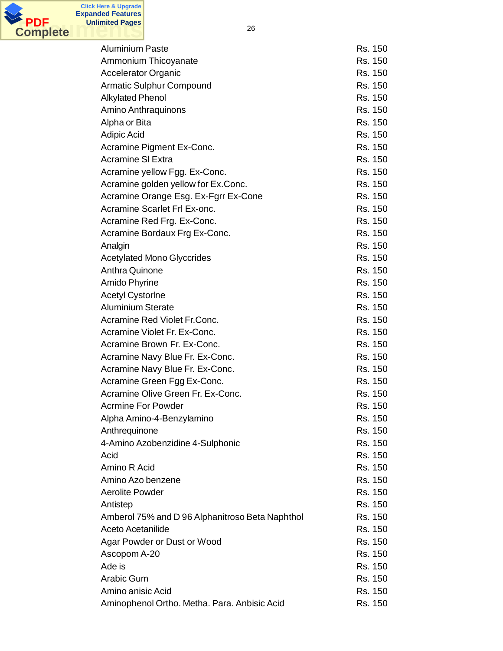

**Click Here & Upgrade**

| <b>Aluminium Paste</b>                          | Rs. 150 |
|-------------------------------------------------|---------|
| Ammonium Thicoyanate                            | Rs. 150 |
| <b>Accelerator Organic</b>                      | Rs. 150 |
| <b>Armatic Sulphur Compound</b>                 | Rs. 150 |
| <b>Alkylated Phenol</b>                         | Rs. 150 |
| Amino Anthraquinons                             | Rs. 150 |
| Alpha or Bita                                   | Rs. 150 |
| <b>Adipic Acid</b>                              | Rs. 150 |
| Acramine Pigment Ex-Conc.                       | Rs. 150 |
| <b>Acramine SI Extra</b>                        | Rs. 150 |
| Acramine yellow Fgg. Ex-Conc.                   | Rs. 150 |
| Acramine golden yellow for Ex.Conc.             | Rs. 150 |
| Acramine Orange Esg. Ex-Fgrr Ex-Cone            | Rs. 150 |
| Acramine Scarlet Frl Ex-onc.                    | Rs. 150 |
| Acramine Red Frg. Ex-Conc.                      | Rs. 150 |
| Acramine Bordaux Frg Ex-Conc.                   | Rs. 150 |
| Analgin                                         | Rs. 150 |
| <b>Acetylated Mono Glyccrides</b>               | Rs. 150 |
| <b>Anthra Quinone</b>                           | Rs. 150 |
| Amido Phyrine                                   | Rs. 150 |
| <b>Acetyl Cystorine</b>                         | Rs. 150 |
| <b>Aluminium Sterate</b>                        | Rs. 150 |
| Acramine Red Violet Fr.Conc.                    | Rs. 150 |
| Acramine Violet Fr. Ex-Conc.                    | Rs. 150 |
| Acramine Brown Fr. Ex-Conc.                     | Rs. 150 |
| Acramine Navy Blue Fr. Ex-Conc.                 | Rs. 150 |
| Acramine Navy Blue Fr. Ex-Conc.                 | Rs. 150 |
| Acramine Green Fgg Ex-Conc.                     | Rs. 150 |
| Acramine Olive Green Fr. Ex-Conc.               | Rs. 150 |
| <b>Acrmine For Powder</b>                       | Rs. 150 |
| Alpha Amino-4-Benzylamino                       | Rs. 150 |
| Anthrequinone                                   | Rs. 150 |
| 4-Amino Azobenzidine 4-Sulphonic                | Rs. 150 |
| Acid                                            | Rs. 150 |
| Amino R Acid                                    | Rs. 150 |
| Amino Azo benzene                               | Rs. 150 |
| <b>Aerolite Powder</b>                          | Rs. 150 |
| Antistep                                        | Rs. 150 |
| Amberol 75% and D 96 Alphanitroso Beta Naphthol | Rs. 150 |
| Aceto Acetanilide                               | Rs. 150 |
| Agar Powder or Dust or Wood                     | Rs. 150 |
| Ascopom A-20                                    | Rs. 150 |
| Ade is                                          | Rs. 150 |
| Arabic Gum                                      | Rs. 150 |
| Amino anisic Acid                               | Rs. 150 |
| Aminophenol Ortho. Metha. Para. Anbisic Acid    | Rs. 150 |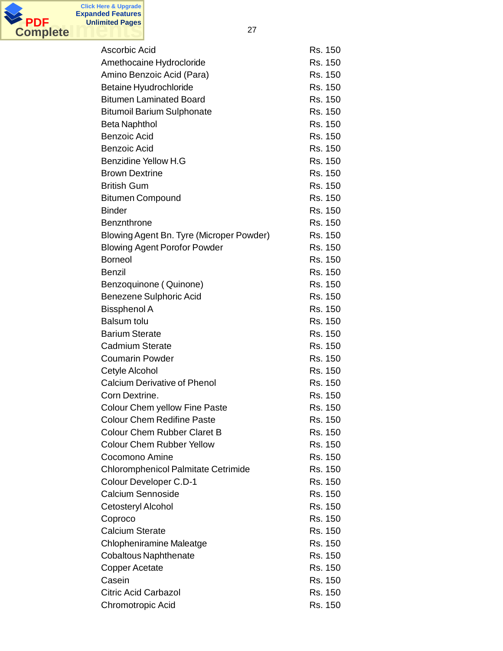

| Ascorbic Acid                              | Rs. 150 |
|--------------------------------------------|---------|
| Amethocaine Hydrocloride                   | Rs. 150 |
| Amino Benzoic Acid (Para)                  | Rs. 150 |
| <b>Betaine Hyudrochloride</b>              | Rs. 150 |
| <b>Bitumen Laminated Board</b>             | Rs. 150 |
| <b>Bitumoil Barium Sulphonate</b>          | Rs. 150 |
| <b>Beta Naphthol</b>                       | Rs. 150 |
| <b>Benzoic Acid</b>                        | Rs. 150 |
| <b>Benzoic Acid</b>                        | Rs. 150 |
| <b>Benzidine Yellow H.G</b>                | Rs. 150 |
| <b>Brown Dextrine</b>                      | Rs. 150 |
| <b>British Gum</b>                         | Rs. 150 |
|                                            | Rs. 150 |
| <b>Bitumen Compound</b><br><b>Binder</b>   | Rs. 150 |
|                                            |         |
| Benznthrone                                | Rs. 150 |
| Blowing Agent Bn. Tyre (Microper Powder)   | Rs. 150 |
| <b>Blowing Agent Porofor Powder</b>        | Rs. 150 |
| <b>Borneol</b>                             | Rs. 150 |
| <b>Benzil</b>                              | Rs. 150 |
| Benzoquinone (Quinone)                     | Rs. 150 |
| Benezene Sulphoric Acid                    | Rs. 150 |
| <b>Bissphenol A</b>                        | Rs. 150 |
| <b>Balsum tolu</b>                         | Rs. 150 |
| <b>Barium Sterate</b>                      | Rs. 150 |
| <b>Cadmium Sterate</b>                     | Rs. 150 |
| <b>Coumarin Powder</b>                     | Rs. 150 |
| Cetyle Alcohol                             | Rs. 150 |
| <b>Calcium Derivative of Phenol</b>        | Rs. 150 |
| Corn Dextrine.                             | Rs. 150 |
| Colour Chem yellow Fine Paste              | Rs. 150 |
| <b>Colour Chem Redifine Paste</b>          | Rs. 150 |
| <b>Colour Chem Rubber Claret B</b>         | Rs. 150 |
| <b>Colour Chem Rubber Yellow</b>           | Rs. 150 |
| Cocomono Amine                             | Rs. 150 |
| <b>Chloromphenicol Palmitate Cetrimide</b> | Rs. 150 |
| Colour Developer C.D-1                     | Rs. 150 |
| Calcium Sennoside                          | Rs. 150 |
| Cetosteryl Alcohol                         | Rs. 150 |
| Coproco                                    | Rs. 150 |
| <b>Calcium Sterate</b>                     | Rs. 150 |
| <b>Chlopheniramine Maleatge</b>            | Rs. 150 |
| <b>Cobaltous Naphthenate</b>               | Rs. 150 |
| Copper Acetate                             | Rs. 150 |
| Casein                                     | Rs. 150 |
| <b>Citric Acid Carbazol</b>                | Rs. 150 |
| Chromotropic Acid                          | Rs. 150 |
|                                            |         |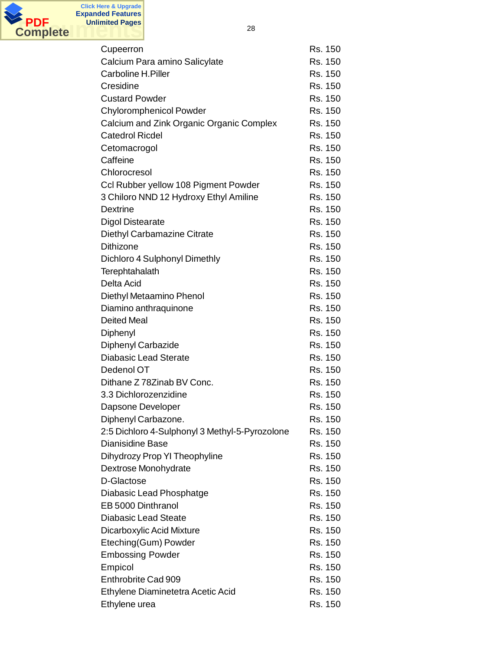

| Cupeerron                                      | Rs. 150 |
|------------------------------------------------|---------|
| Calcium Para amino Salicylate                  | Rs. 150 |
| Carboline H.Piller                             | Rs. 150 |
| Cresidine                                      | Rs. 150 |
| <b>Custard Powder</b>                          | Rs. 150 |
| <b>Chyloromphenicol Powder</b>                 | Rs. 150 |
| Calcium and Zink Organic Organic Complex       | Rs. 150 |
| <b>Catedrol Ricdel</b>                         | Rs. 150 |
| Cetomacrogol                                   | Rs. 150 |
| Caffeine                                       | Rs. 150 |
| Chlorocresol                                   | Rs. 150 |
| Ccl Rubber yellow 108 Pigment Powder           | Rs. 150 |
| 3 Chiloro NND 12 Hydroxy Ethyl Amiline         | Rs. 150 |
| <b>Dextrine</b>                                | Rs. 150 |
| <b>Digol Distearate</b>                        | Rs. 150 |
| Diethyl Carbamazine Citrate                    | Rs. 150 |
| <b>Dithizone</b>                               | Rs. 150 |
| Dichloro 4 Sulphonyl Dimethly                  | Rs. 150 |
| Terephtahalath                                 | Rs. 150 |
| Delta Acid                                     | Rs. 150 |
| Diethyl Metaamino Phenol                       | Rs. 150 |
| Diamino anthraquinone                          | Rs. 150 |
| <b>Deited Meal</b>                             | Rs. 150 |
| Diphenyl                                       | Rs. 150 |
| Diphenyl Carbazide                             | Rs. 150 |
| <b>Diabasic Lead Sterate</b>                   | Rs. 150 |
| Dedenol OT                                     | Rs. 150 |
| Dithane Z 78Zinab BV Conc.                     | Rs. 150 |
| 3.3 Dichlorozenzidine                          | Rs. 150 |
| Dapsone Developer                              | Rs. 150 |
| Diphenyl Carbazone.                            | Rs. 150 |
| 2:5 Dichloro 4-Sulphonyl 3 Methyl-5-Pyrozolone | Rs. 150 |
| Dianisidine Base                               | Rs. 150 |
| Dihydrozy Prop YI Theophyline                  | Rs. 150 |
| Dextrose Monohydrate                           | Rs. 150 |
| D-Glactose                                     | Rs. 150 |
| Diabasic Lead Phosphatge                       | Rs. 150 |
| EB 5000 Dinthranol                             | Rs. 150 |
| <b>Diabasic Lead Steate</b>                    | Rs. 150 |
| Dicarboxylic Acid Mixture                      | Rs. 150 |
| Eteching(Gum) Powder                           | Rs. 150 |
| <b>Embossing Powder</b>                        | Rs. 150 |
| Empicol                                        | Rs. 150 |
| Enthrobrite Cad 909                            | Rs. 150 |
| Ethylene Diaminetetra Acetic Acid              | Rs. 150 |
| Ethylene urea                                  | Rs. 150 |
|                                                |         |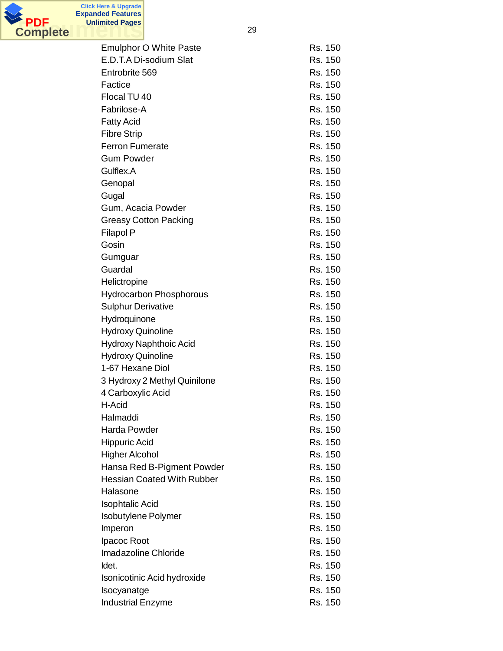

**Unlimited Pages**

| <b>Emulphor O White Paste</b>     | Rs. 150 |
|-----------------------------------|---------|
| E.D.T.A Di-sodium Slat            | Rs. 150 |
| Entrobrite 569                    | Rs. 150 |
| Factice                           | Rs. 150 |
| Flocal TU 40                      | Rs. 150 |
| Fabrilose-A                       | Rs. 150 |
| <b>Fatty Acid</b>                 | Rs. 150 |
| <b>Fibre Strip</b>                | Rs. 150 |
| <b>Ferron Fumerate</b>            | Rs. 150 |
| <b>Gum Powder</b>                 | Rs. 150 |
| Gulflex.A                         | Rs. 150 |
| Genopal                           | Rs. 150 |
| Gugal                             | Rs. 150 |
| Gum, Acacia Powder                | Rs. 150 |
| <b>Greasy Cotton Packing</b>      | Rs. 150 |
| <b>Filapol P</b>                  | Rs. 150 |
| Gosin                             | Rs. 150 |
|                                   | Rs. 150 |
| Gumguar<br>Guardal                | Rs. 150 |
|                                   |         |
| Helictropine                      | Rs. 150 |
| <b>Hydrocarbon Phosphorous</b>    | Rs. 150 |
| <b>Sulphur Derivative</b>         | Rs. 150 |
| Hydroquinone                      | Rs. 150 |
| <b>Hydroxy Quinoline</b>          | Rs. 150 |
| Hydroxy Naphthoic Acid            | Rs. 150 |
| <b>Hydroxy Quinoline</b>          | Rs. 150 |
| 1-67 Hexane Diol                  | Rs. 150 |
| 3 Hydroxy 2 Methyl Quinilone      | Rs. 150 |
| 4 Carboxylic Acid                 | Rs. 150 |
| H-Acid                            | Rs. 150 |
| Halmaddi                          | Rs. 150 |
| Harda Powder                      | Rs. 150 |
| <b>Hippuric Acid</b>              | Rs. 150 |
| <b>Higher Alcohol</b>             | Rs. 150 |
| Hansa Red B-Pigment Powder        | Rs. 150 |
| <b>Hessian Coated With Rubber</b> | Rs. 150 |
| Halasone                          | Rs. 150 |
| <b>Isophtalic Acid</b>            | Rs. 150 |
| <b>Isobutylene Polymer</b>        | Rs. 150 |
| Imperon                           | Rs. 150 |
| Ipacoc Root                       | Rs. 150 |
| Imadazoline Chloride              | Rs. 150 |
| Idet.                             | Rs. 150 |
| Isonicotinic Acid hydroxide       | Rs. 150 |
| Isocyanatge                       | Rs. 150 |
| <b>Industrial Enzyme</b>          | Rs. 150 |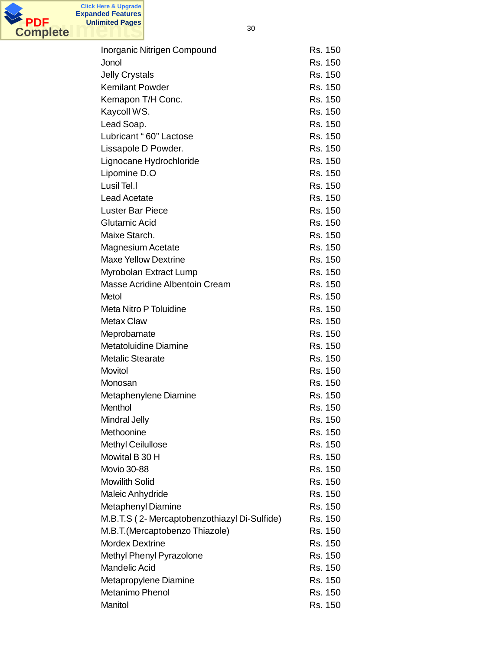

| Inorganic Nitrigen Compound                  | Rs. 150 |
|----------------------------------------------|---------|
| Jonol                                        | Rs. 150 |
| <b>Jelly Crystals</b>                        | Rs. 150 |
| <b>Kemilant Powder</b>                       | Rs. 150 |
| Kemapon T/H Conc.                            | Rs. 150 |
| Kaycoll WS.                                  | Rs. 150 |
| Lead Soap.                                   | Rs. 150 |
| Lubricant "60" Lactose                       | Rs. 150 |
| Lissapole D Powder.                          | Rs. 150 |
| Lignocane Hydrochloride                      | Rs. 150 |
| Lipomine D.O                                 | Rs. 150 |
| Lusil Tel.I                                  | Rs. 150 |
| <b>Lead Acetate</b>                          | Rs. 150 |
| <b>Luster Bar Piece</b>                      | Rs. 150 |
| Glutamic Acid                                | Rs. 150 |
| Maixe Starch.                                | Rs. 150 |
| <b>Magnesium Acetate</b>                     | Rs. 150 |
| <b>Maxe Yellow Dextrine</b>                  | Rs. 150 |
| Myrobolan Extract Lump                       | Rs. 150 |
| Masse Acridine Albentoin Cream               | Rs. 150 |
| Metol                                        | Rs. 150 |
| Meta Nitro P Toluidine                       | Rs. 150 |
| <b>Metax Claw</b>                            | Rs. 150 |
| Meprobamate                                  | Rs. 150 |
| <b>Metatoluidine Diamine</b>                 | Rs. 150 |
| <b>Metalic Stearate</b>                      | Rs. 150 |
| Movitol                                      | Rs. 150 |
| Monosan                                      | Rs. 150 |
| Metaphenylene Diamine                        | Rs. 150 |
| Menthol                                      | Rs. 150 |
| <b>Mindral Jelly</b>                         | Rs. 150 |
| Methoonine                                   | Rs. 150 |
| <b>Methyl Ceilullose</b>                     | Rs. 150 |
| Mowital B 30 H                               | Rs. 150 |
| <b>Movio 30-88</b>                           | Rs. 150 |
| <b>Mowilith Solid</b>                        | Rs. 150 |
| Maleic Anhydride                             | Rs. 150 |
| Metaphenyl Diamine                           | Rs. 150 |
| M.B.T.S (2- Mercaptobenzothiazyl Di-Sulfide) | Rs. 150 |
| M.B.T. (Mercaptobenzo Thiazole)              | Rs. 150 |
| <b>Mordex Dextrine</b>                       | Rs. 150 |
| Methyl Phenyl Pyrazolone                     | Rs. 150 |
| <b>Mandelic Acid</b>                         | Rs. 150 |
| Metapropylene Diamine                        | Rs. 150 |
| <b>Metanimo Phenol</b>                       | Rs. 150 |
| Manitol                                      | Rs. 150 |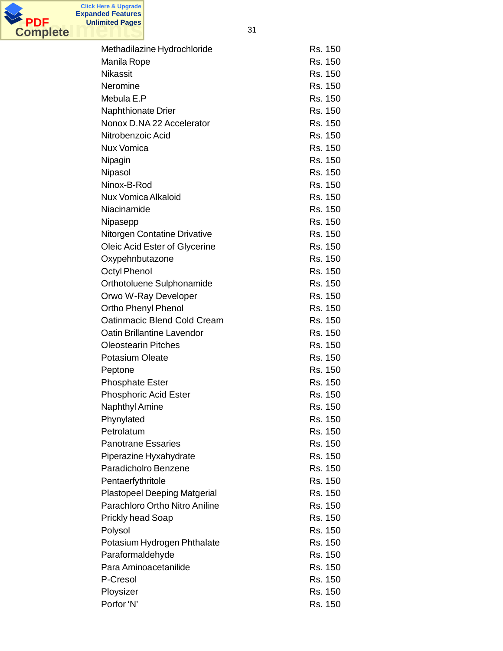

| Methadilazine Hydrochloride         | Rs. 150 |
|-------------------------------------|---------|
| Manila Rope                         | Rs. 150 |
| <b>Nikassit</b>                     | Rs. 150 |
| Neromine                            | Rs. 150 |
| Mebula E.P                          | Rs. 150 |
| Naphthionate Drier                  | Rs. 150 |
| Nonox D.NA 22 Accelerator           | Rs. 150 |
| Nitrobenzoic Acid                   | Rs. 150 |
| <b>Nux Vomica</b>                   | Rs. 150 |
| Nipagin                             | Rs. 150 |
| Nipasol                             | Rs. 150 |
| Ninox-B-Rod                         | Rs. 150 |
| <b>Nux Vomica Alkaloid</b>          | Rs. 150 |
| Niacinamide                         | Rs. 150 |
|                                     | Rs. 150 |
| Nipasepp                            |         |
| <b>Nitorgen Contatine Drivative</b> | Rs. 150 |
| Oleic Acid Ester of Glycerine       | Rs. 150 |
| Oxypehnbutazone                     | Rs. 150 |
| <b>Octyl Phenol</b>                 | Rs. 150 |
| Orthotoluene Sulphonamide           | Rs. 150 |
| Orwo W-Ray Developer                | Rs. 150 |
| Ortho Phenyl Phenol                 | Rs. 150 |
| Oatinmacic Blend Cold Cream         | Rs. 150 |
| Oatin Brillantine Lavendor          | Rs. 150 |
| <b>Oleostearin Pitches</b>          | Rs. 150 |
| <b>Potasium Oleate</b>              | Rs. 150 |
| Peptone                             | Rs. 150 |
| <b>Phosphate Ester</b>              | Rs. 150 |
| <b>Phosphoric Acid Ester</b>        | Rs. 150 |
| <b>Naphthyl Amine</b>               | Rs. 150 |
| Phynylated                          | Rs. 150 |
| Petrolatum                          | Rs. 150 |
| <b>Panotrane Essaries</b>           | Rs. 150 |
| Piperazine Hyxahydrate              | Rs. 150 |
| Paradicholro Benzene                | Rs. 150 |
| Pentaerfythritole                   | Rs. 150 |
| <b>Plastopeel Deeping Matgerial</b> | Rs. 150 |
| Parachloro Ortho Nitro Aniline      | Rs. 150 |
| <b>Prickly head Soap</b>            | Rs. 150 |
| Polysol                             | Rs. 150 |
| Potasium Hydrogen Phthalate         | Rs. 150 |
| Paraformaldehyde                    | Rs. 150 |
| Para Aminoacetanilide               | Rs. 150 |
| P-Cresol                            | Rs. 150 |
| Ploysizer                           | Rs. 150 |
| Porfor 'N'                          | Rs. 150 |
|                                     |         |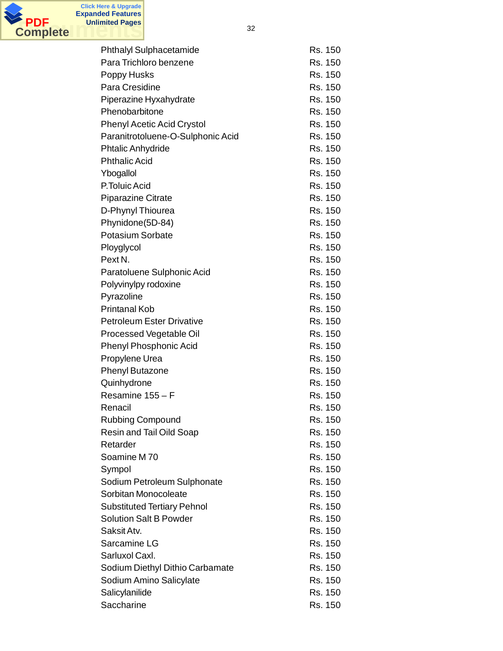

**Click Here & Upgrade**

**Unlimited Pages**

| <b>Phthalyl Sulphacetamide</b>     | Rs. 150 |
|------------------------------------|---------|
| Para Trichloro benzene             | Rs. 150 |
| Poppy Husks                        | Rs. 150 |
| Para Cresidine                     | Rs. 150 |
| Piperazine Hyxahydrate             | Rs. 150 |
| Phenobarbitone                     | Rs. 150 |
| <b>Phenyl Acetic Acid Crystol</b>  | Rs. 150 |
| Paranitrotoluene-O-Sulphonic Acid  | Rs. 150 |
| <b>Phtalic Anhydride</b>           | Rs. 150 |
| <b>Phthalic Acid</b>               | Rs. 150 |
| Ybogallol                          | Rs. 150 |
| P.Toluic Acid                      | Rs. 150 |
| <b>Piparazine Citrate</b>          | Rs. 150 |
| D-Phynyl Thiourea                  | Rs. 150 |
| Phynidone(5D-84)                   | Rs. 150 |
| <b>Potasium Sorbate</b>            | Rs. 150 |
| Ployglycol                         | Rs. 150 |
| Pext <sub>N</sub> .                | Rs. 150 |
| Paratoluene Sulphonic Acid         | Rs. 150 |
| Polyvinylpy rodoxine               | Rs. 150 |
| Pyrazoline                         | Rs. 150 |
| <b>Printanal Kob</b>               | Rs. 150 |
| <b>Petroleum Ester Drivative</b>   | Rs. 150 |
| Processed Vegetable Oil            | Rs. 150 |
| <b>Phenyl Phosphonic Acid</b>      | Rs. 150 |
| Propylene Urea                     | Rs. 150 |
| <b>Phenyl Butazone</b>             | Rs. 150 |
| Quinhydrone                        | Rs. 150 |
| Resamine 155 - F                   | Rs. 150 |
| Renacil                            | Rs. 150 |
| <b>Rubbing Compound</b>            | Rs. 150 |
| Resin and Tail Oild Soap           | Rs. 150 |
| Retarder                           | Rs. 150 |
| Soamine M70                        | Rs. 150 |
| Sympol                             | Rs. 150 |
| Sodium Petroleum Sulphonate        | Rs. 150 |
| Sorbitan Monocoleate               | Rs. 150 |
| <b>Substituted Tertiary Pehnol</b> | Rs. 150 |
| <b>Solution Salt B Powder</b>      | Rs. 150 |
| Saksit Atv.                        | Rs. 150 |
| Sarcamine LG                       | Rs. 150 |
| Sarluxol Caxl.                     | Rs. 150 |
| Sodium Diethyl Dithio Carbamate    | Rs. 150 |
| Sodium Amino Salicylate            | Rs. 150 |
| Salicylanilide                     | Rs. 150 |
| Saccharine                         | Rs. 150 |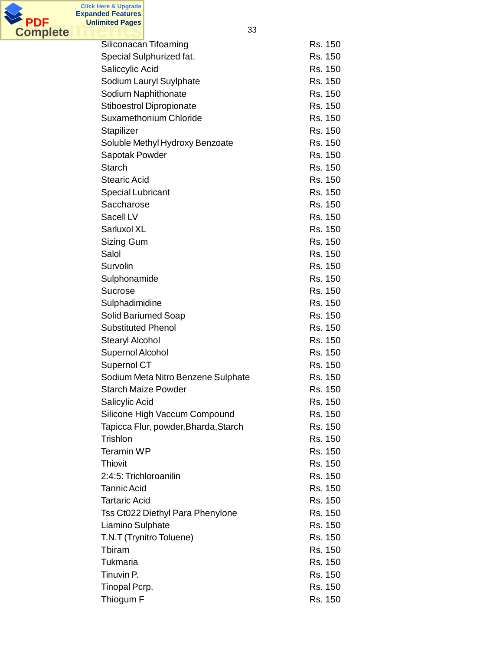

**Click Here & Upgrade**

| Siliconacan Tifoaming                | Rs. 150 |
|--------------------------------------|---------|
| Special Sulphurized fat.             | Rs. 150 |
| Saliccylic Acid                      | Rs. 150 |
| Sodium Lauryl Suylphate              | Rs. 150 |
| Sodium Naphithonate                  | Rs. 150 |
| <b>Stiboestrol Dipropionate</b>      | Rs. 150 |
| Suxamethonium Chloride               | Rs. 150 |
| Stapilizer                           | Rs. 150 |
| Soluble Methyl Hydroxy Benzoate      | Rs. 150 |
| Sapotak Powder                       | Rs. 150 |
| <b>Starch</b>                        | Rs. 150 |
| <b>Stearic Acid</b>                  | Rs. 150 |
| <b>Special Lubricant</b>             | Rs. 150 |
| Saccharose                           | Rs. 150 |
| Sacell LV                            | Rs. 150 |
| Sarluxol XL                          | Rs. 150 |
| Sizing Gum                           | Rs. 150 |
| Salol                                | Rs. 150 |
| Survolin                             | Rs. 150 |
| Sulphonamide                         | Rs. 150 |
| <b>Sucrose</b>                       | Rs. 150 |
| Sulphadimidine                       | Rs. 150 |
| Solid Bariumed Soap                  | Rs. 150 |
| <b>Substituted Phenol</b>            | Rs. 150 |
| <b>Stearyl Alcohol</b>               | Rs. 150 |
| Supernol Alcohol                     | Rs. 150 |
| Supernol CT                          | Rs. 150 |
| Sodium Meta Nitro Benzene Sulphate   | Rs. 150 |
| <b>Starch Maize Powder</b>           | Rs. 150 |
| Salicylic Acid                       | Rs. 150 |
| Silicone High Vaccum Compound        | Rs. 150 |
| Tapicca Flur, powder, Bharda, Starch | Rs. 150 |
| Trishlon                             | Rs. 150 |
| <b>Teramin WP</b>                    | Rs. 150 |
| Thiovit                              | Rs. 150 |
| 2:4:5: Trichloroanilin               | Rs. 150 |
| <b>Tannic Acid</b>                   | Rs. 150 |
| <b>Tartaric Acid</b>                 | Rs. 150 |
| Tss Ct022 Diethyl Para Phenylone     | Rs. 150 |
| Liamino Sulphate                     | Rs. 150 |
| T.N.T (Trynitro Toluene)             | Rs. 150 |
| Tbiram                               | Rs. 150 |
| Tukmaria                             | Rs. 150 |
| Tinuvin P.                           | Rs. 150 |
| Tinopal Pcrp.                        | Rs. 150 |
| Thiogum F                            | Rs. 150 |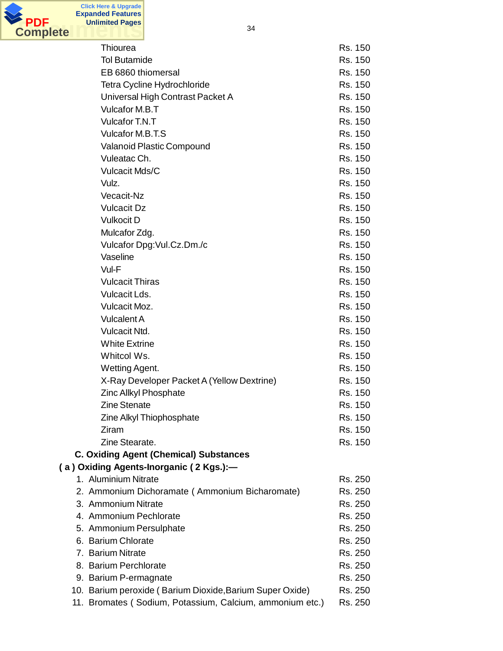

| Thiourea                                                 | Rs. 150 |
|----------------------------------------------------------|---------|
| <b>Tol Butamide</b>                                      | Rs. 150 |
| EB 6860 thiomersal                                       | Rs. 150 |
| Tetra Cycline Hydrochloride                              | Rs. 150 |
| Universal High Contrast Packet A                         | Rs. 150 |
| Vulcafor M.B.T                                           | Rs. 150 |
| Vulcafor T.N.T                                           | Rs. 150 |
| Vulcafor M.B.T.S                                         | Rs. 150 |
| <b>Valanoid Plastic Compound</b>                         | Rs. 150 |
| Vuleatac Ch.                                             | Rs. 150 |
| <b>Vulcacit Mds/C</b>                                    | Rs. 150 |
| Vulz.                                                    | Rs. 150 |
| Vecacit-Nz                                               | Rs. 150 |
| <b>Vulcacit Dz</b>                                       | Rs. 150 |
| <b>Vulkocit D</b>                                        | Rs. 150 |
| Mulcafor Zdg.                                            | Rs. 150 |
| Vulcafor Dpg: Vul.Cz.Dm./c                               | Rs. 150 |
| Vaseline                                                 | Rs. 150 |
| Vul-F                                                    | Rs. 150 |
| <b>Vulcacit Thiras</b>                                   | Rs. 150 |
| Vulcacit Lds.                                            | Rs. 150 |
| Vulcacit Moz.                                            | Rs. 150 |
| <b>Vulcalent A</b>                                       | Rs. 150 |
| Vulcacit Ntd.                                            | Rs. 150 |
| <b>White Extrine</b>                                     | Rs. 150 |
| Whitcol Ws.                                              | Rs. 150 |
| Wetting Agent.                                           | Rs. 150 |
| X-Ray Developer Packet A (Yellow Dextrine)               | Rs. 150 |
| <b>Zinc Allkyl Phosphate</b>                             | Rs. 150 |
| <b>Zine Stenate</b>                                      | Rs. 150 |
| Zine Alkyl Thiophosphate                                 | Rs. 150 |
| Ziram                                                    | Rs. 150 |
| Zine Stearate.                                           | Rs. 150 |
| <b>C. Oxiding Agent (Chemical) Substances</b>            |         |
| (a) Oxiding Agents-Inorganic (2 Kgs.):-                  |         |
| 1. Aluminium Nitrate                                     | Rs. 250 |
| 2. Ammonium Dichoramate (Ammonium Bicharomate)           | Rs. 250 |
| 3. Ammonium Nitrate                                      | Rs. 250 |
| 4. Ammonium Pechlorate                                   |         |
|                                                          | Rs. 250 |
| 5. Ammonium Persulphate                                  | Rs. 250 |
| 6. Barium Chlorate                                       | Rs. 250 |
| 7. Barium Nitrate                                        | Rs. 250 |
| 8. Barium Perchlorate                                    | Rs. 250 |
| 9. Barium P-ermagnate                                    | Rs. 250 |
| 10. Barium peroxide (Barium Dioxide, Barium Super Oxide) | Rs. 250 |
| 11. Bromates (Sodium, Potassium, Calcium, ammonium etc.) | Rs. 250 |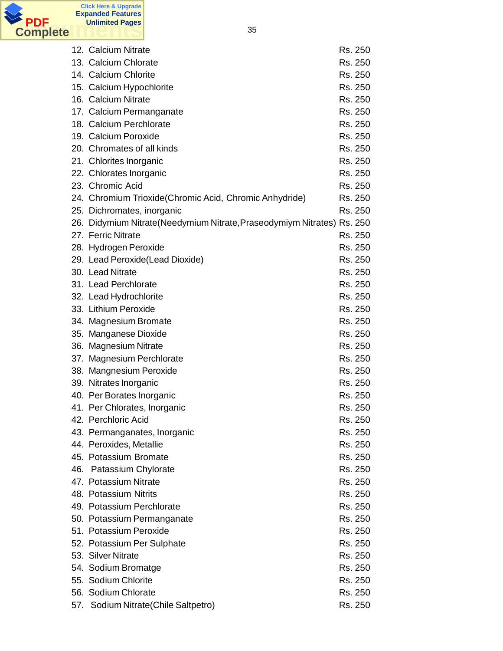

| 12. Calcium Nitrate                                                    | Rs. 250 |
|------------------------------------------------------------------------|---------|
| 13. Calcium Chlorate                                                   | Rs. 250 |
| 14. Calcium Chlorite                                                   | Rs. 250 |
| 15. Calcium Hypochlorite                                               | Rs. 250 |
| 16. Calcium Nitrate                                                    | Rs. 250 |
| 17. Calcium Permanganate                                               | Rs. 250 |
| 18. Calcium Perchlorate                                                | Rs. 250 |
| 19. Calcium Poroxide                                                   | Rs. 250 |
| 20. Chromates of all kinds                                             | Rs. 250 |
| 21. Chlorites Inorganic                                                | Rs. 250 |
| 22. Chlorates Inorganic                                                | Rs. 250 |
| 23. Chromic Acid                                                       | Rs. 250 |
| 24. Chromium Trioxide(Chromic Acid, Chromic Anhydride)                 | Rs. 250 |
| 25. Dichromates, inorganic                                             | Rs. 250 |
| 26. Didymium Nitrate(Needymium Nitrate, Praseodymiym Nitrates) Rs. 250 |         |
| 27. Ferric Nitrate                                                     | Rs. 250 |
| 28. Hydrogen Peroxide                                                  | Rs. 250 |
| 29. Lead Peroxide(Lead Dioxide)                                        | Rs. 250 |
| 30. Lead Nitrate                                                       | Rs. 250 |
| 31. Lead Perchlorate                                                   | Rs. 250 |
| 32. Lead Hydrochlorite                                                 | Rs. 250 |
| 33. Lithium Peroxide                                                   | Rs. 250 |
| 34. Magnesium Bromate                                                  | Rs. 250 |
| 35. Manganese Dioxide                                                  | Rs. 250 |
| 36. Magnesium Nitrate                                                  | Rs. 250 |
| 37. Magnesium Perchlorate                                              | Rs. 250 |
| 38. Mangnesium Peroxide                                                | Rs. 250 |
| 39. Nitrates Inorganic                                                 | Rs. 250 |
| 40. Per Borates Inorganic                                              | Rs. 250 |
| 41. Per Chlorates, Inorganic                                           | Rs. 250 |
| 42. Perchloric Acid                                                    | Rs. 250 |
| 43. Permanganates, Inorganic                                           | Rs. 250 |
| 44. Peroxides, Metallie                                                | Rs. 250 |
| 45. Potassium Bromate                                                  | Rs. 250 |
| 46. Patassium Chylorate                                                | Rs. 250 |
| 47. Potassium Nitrate                                                  | Rs. 250 |
| 48. Potassium Nitrits                                                  | Rs. 250 |
| 49. Potassium Perchlorate                                              | Rs. 250 |
| 50. Potassium Permanganate                                             | Rs. 250 |
| 51. Potassium Peroxide                                                 | Rs. 250 |
| 52. Potassium Per Sulphate                                             | Rs. 250 |
| 53. Silver Nitrate                                                     | Rs. 250 |
| 54. Sodium Bromatge                                                    | Rs. 250 |
| 55. Sodium Chlorite                                                    | Rs. 250 |
| 56. Sodium Chlorate                                                    | Rs. 250 |
| 57. Sodium Nitrate (Chile Saltpetro)                                   | Rs. 250 |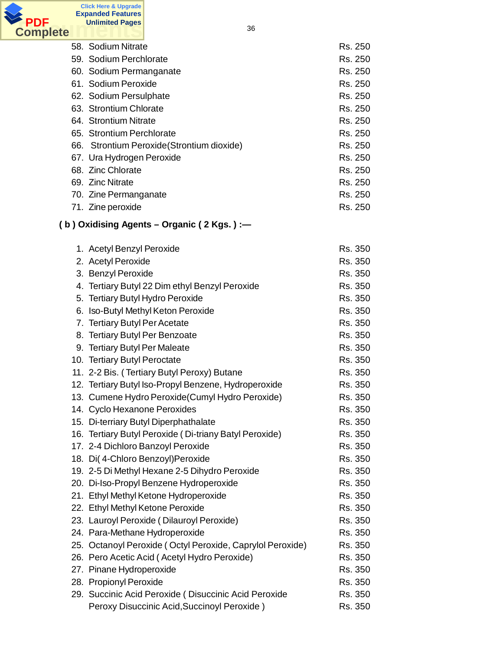

| 58. Sodium Nitrate                         | Rs. 250 |
|--------------------------------------------|---------|
| 59. Sodium Perchlorate                     | Rs. 250 |
| 60. Sodium Permanganate                    | Rs. 250 |
| 61. Sodium Peroxide                        | Rs. 250 |
| 62. Sodium Persulphate                     | Rs. 250 |
| 63. Strontium Chlorate                     | Rs. 250 |
| 64. Strontium Nitrate                      | Rs. 250 |
| 65. Strontium Perchlorate                  | Rs. 250 |
| 66. Strontium Peroxide (Strontium dioxide) | Rs. 250 |
| 67. Ura Hydrogen Peroxide                  | Rs. 250 |
| 68. Zinc Chlorate                          | Rs. 250 |
| 69. Zinc Nitrate                           | Rs. 250 |
| 70. Zine Permanganate                      | Rs. 250 |
| 71. Zine peroxide                          | Rs. 250 |

# **( b ) Oxidising Agents – Organic ( 2 Kgs. ) :—**

| 1. Acetyl Benzyl Peroxide                                 | Rs. 350 |
|-----------------------------------------------------------|---------|
| 2. Acetyl Peroxide                                        | Rs. 350 |
| 3. Benzyl Peroxide                                        | Rs. 350 |
| 4. Tertiary Butyl 22 Dim ethyl Benzyl Peroxide            | Rs. 350 |
| 5. Tertiary Butyl Hydro Peroxide                          | Rs. 350 |
| 6. Iso-Butyl Methyl Keton Peroxide                        | Rs. 350 |
| 7. Tertiary Butyl Per Acetate                             | Rs. 350 |
| 8. Tertiary Butyl Per Benzoate                            | Rs. 350 |
| 9. Tertiary Butyl Per Maleate                             | Rs. 350 |
| 10. Tertiary Butyl Peroctate                              | Rs. 350 |
| 11. 2-2 Bis. (Tertiary Butyl Peroxy) Butane               | Rs. 350 |
| 12. Tertiary Butyl Iso-Propyl Benzene, Hydroperoxide      | Rs. 350 |
| 13. Cumene Hydro Peroxide (Cumyl Hydro Peroxide)          | Rs. 350 |
| 14. Cyclo Hexanone Peroxides                              | Rs. 350 |
| 15. Di-terriary Butyl Diperphathalate                     | Rs. 350 |
| 16. Tertiary Butyl Peroxide (Di-triany Batyl Peroxide)    | Rs. 350 |
| 17. 2-4 Dichloro Banzoyl Peroxide                         | Rs. 350 |
| 18. Di( 4-Chloro Benzoyl) Peroxide                        | Rs. 350 |
| 19. 2-5 Di Methyl Hexane 2-5 Dihydro Peroxide             | Rs. 350 |
| 20. Di-Iso-Propyl Benzene Hydroperoxide                   | Rs. 350 |
| 21. Ethyl Methyl Ketone Hydroperoxide                     | Rs. 350 |
| 22. Ethyl Methyl Ketone Peroxide                          | Rs. 350 |
| 23. Lauroyl Peroxide (Dilauroyl Peroxide)                 | Rs. 350 |
| 24. Para-Methane Hydroperoxide                            | Rs. 350 |
| 25. Octanoyl Peroxide (Octyl Peroxide, Caprylol Peroxide) | Rs. 350 |
| 26. Pero Acetic Acid (Acetyl Hydro Peroxide)              | Rs. 350 |
| 27. Pinane Hydroperoxide                                  | Rs. 350 |
| 28. Propionyl Peroxide                                    | Rs. 350 |
| 29. Succinic Acid Peroxide (Disuccinic Acid Peroxide      | Rs. 350 |
| Peroxy Disuccinic Acid, Succinoyl Peroxide)               | Rs. 350 |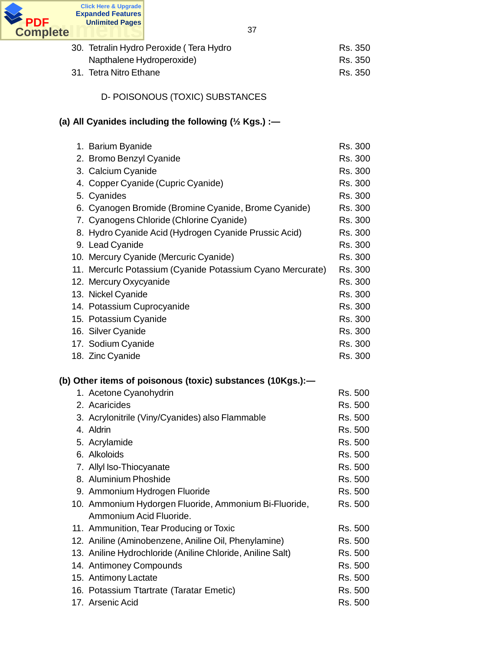

| 30. Tetralin Hydro Peroxide ( Tera Hydro | Rs. 350 |
|------------------------------------------|---------|
| Napthalene Hydroperoxide)                | Rs. 350 |
| 31.  Tetra Nitro Ethane                  | Rs. 350 |

D- POISONOUS (TOXIC) SUBSTANCES

# **(a) All Cyanides including the following (½ Kgs.) :—**

| 1. Barium Byanide                                            | Rs. 300            |
|--------------------------------------------------------------|--------------------|
| 2. Bromo Benzyl Cyanide                                      | Rs. 300            |
| 3. Calcium Cyanide                                           | Rs. 300            |
| 4. Copper Cyanide (Cupric Cyanide)                           | Rs. 300            |
| 5. Cyanides                                                  | Rs. 300            |
| 6. Cyanogen Bromide (Bromine Cyanide, Brome Cyanide)         | Rs. 300            |
| 7. Cyanogens Chloride (Chlorine Cyanide)                     | Rs. 300            |
| 8. Hydro Cyanide Acid (Hydrogen Cyanide Prussic Acid)        | Rs. 300            |
| 9. Lead Cyanide                                              | Rs. 300            |
| 10. Mercury Cyanide (Mercuric Cyanide)                       | Rs. 300            |
| 11. Mercurlc Potassium (Cyanide Potassium Cyano Mercurate)   | Rs. 300            |
| 12. Mercury Oxycyanide                                       | Rs. 300            |
| 13. Nickel Cyanide                                           | Rs. 300            |
| 14. Potassium Cuprocyanide                                   | Rs. 300            |
| 15. Potassium Cyanide                                        | Rs. 300            |
| 16. Silver Cyanide                                           | Rs. 300            |
| 17. Sodium Cyanide                                           | Rs. 300            |
| 18. Zinc Cyanide                                             | Rs. 300            |
|                                                              |                    |
| (b) Other items of poisonous (toxic) substances (10Kgs.):-   |                    |
| 1. Acetone Cyanohydrin                                       | Rs. 500            |
| 2. Acaricides                                                | Rs. 500            |
| 3. Acrylonitrile (Viny/Cyanides) also Flammable              | Rs. 500            |
| 4. Aldrin                                                    | Rs. 500            |
| 5. Acrylamide                                                | Rs. 500            |
| 6. Alkoloids                                                 | Rs. 500            |
| 7. Allyl Iso-Thiocyanate                                     | Rs. 500            |
| 8. Aluminium Phoshide                                        | Rs. 500            |
| 9. Ammonium Hydrogen Fluoride                                | Rs. 500            |
| 10. Ammonium Hydorgen Fluoride, Ammonium Bi-Fluoride,        | Rs. 500            |
| Ammonium Acid Fluoride.                                      |                    |
|                                                              |                    |
| 11. Ammunition, Tear Producing or Toxic                      | Rs. 500            |
| 12. Aniline (Aminobenzene, Aniline Oil, Phenylamine)         | Rs. 500            |
| 13. Aniline Hydrochloride (Aniline Chloride, Aniline Salt)   | Rs. 500            |
| 14. Antimoney Compounds                                      | Rs. 500            |
| 15. Antimony Lactate                                         | Rs. 500            |
| 16. Potassium Ttartrate (Taratar Emetic)<br>17. Arsenic Acid | Rs. 500<br>Rs. 500 |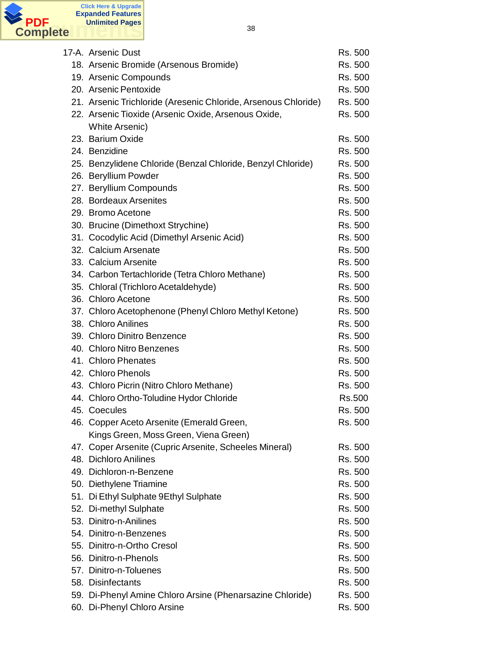

| 17-A. Arsenic Dust                                             | Rs. 500 |
|----------------------------------------------------------------|---------|
| 18. Arsenic Bromide (Arsenous Bromide)                         | Rs. 500 |
| 19. Arsenic Compounds                                          | Rs. 500 |
| 20. Arsenic Pentoxide                                          | Rs. 500 |
| 21. Arsenic Trichloride (Aresenic Chloride, Arsenous Chloride) | Rs. 500 |
| 22. Arsenic Tioxide (Arsenic Oxide, Arsenous Oxide,            | Rs. 500 |
| <b>White Arsenic)</b>                                          |         |
| 23. Barium Oxide                                               | Rs. 500 |
| 24. Benzidine                                                  | Rs. 500 |
| 25. Benzylidene Chloride (Benzal Chloride, Benzyl Chloride)    | Rs. 500 |
| 26. Beryllium Powder                                           | Rs. 500 |
| 27. Beryllium Compounds                                        | Rs. 500 |
| 28. Bordeaux Arsenites                                         | Rs. 500 |
| 29. Bromo Acetone                                              | Rs. 500 |
| 30. Brucine (Dimethoxt Strychine)                              | Rs. 500 |
| 31. Cocodylic Acid (Dimethyl Arsenic Acid)                     | Rs. 500 |
| 32. Calcium Arsenate                                           | Rs. 500 |
| 33. Calcium Arsenite                                           | Rs. 500 |
| 34. Carbon Tertachloride (Tetra Chloro Methane)                | Rs. 500 |
| 35. Chloral (Trichloro Acetaldehyde)                           | Rs. 500 |
| 36. Chloro Acetone                                             | Rs. 500 |
| 37. Chloro Acetophenone (Phenyl Chloro Methyl Ketone)          | Rs. 500 |
| 38. Chloro Anilines                                            | Rs. 500 |
| 39. Chloro Dinitro Benzence                                    | Rs. 500 |
| 40. Chloro Nitro Benzenes                                      | Rs. 500 |
| 41. Chloro Phenates                                            | Rs. 500 |
| 42. Chloro Phenols                                             | Rs. 500 |
| 43. Chloro Picrin (Nitro Chloro Methane)                       | Rs. 500 |
| 44. Chloro Ortho-Toludine Hydor Chloride                       | Rs.500  |
| 45. Coecules                                                   | Rs. 500 |
| 46. Copper Aceto Arsenite (Emerald Green,                      | Rs. 500 |
| Kings Green, Moss Green, Viena Green)                          |         |
| 47. Coper Arsenite (Cupric Arsenite, Scheeles Mineral)         | Rs. 500 |
| 48. Dichloro Anilines                                          | Rs. 500 |
| 49. Dichloron-n-Benzene                                        | Rs. 500 |
| 50. Diethylene Triamine                                        | Rs. 500 |
| 51. Di Ethyl Sulphate 9Ethyl Sulphate                          | Rs. 500 |
| 52. Di-methyl Sulphate                                         | Rs. 500 |
| 53. Dinitro-n-Anilines                                         | Rs. 500 |
| 54. Dinitro-n-Benzenes                                         | Rs. 500 |
| 55. Dinitro-n-Ortho Cresol                                     | Rs. 500 |
| 56. Dinitro-n-Phenols                                          | Rs. 500 |
| 57. Dinitro-n-Toluenes                                         | Rs. 500 |
| 58. Disinfectants                                              | Rs. 500 |
| 59. Di-Phenyl Amine Chloro Arsine (Phenarsazine Chloride)      | Rs. 500 |
| 60. Di-Phenyl Chloro Arsine                                    | Rs. 500 |
|                                                                |         |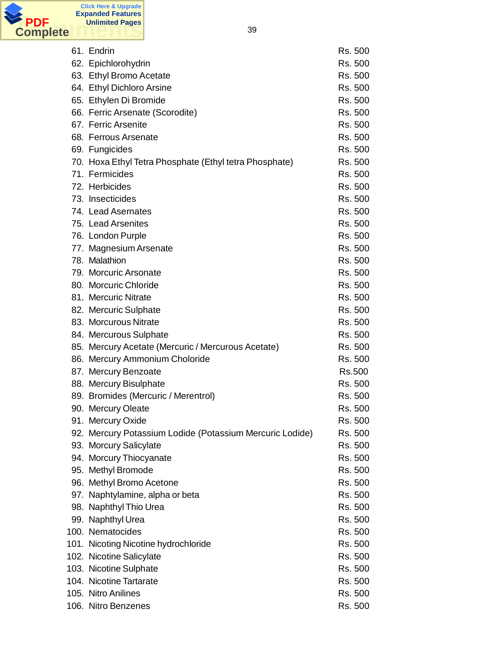

61. Endrin Rs. 500 62. Epichlorohydrin Rs. 500 63. Ethyl Bromo Acetate Rs. 500 64. Ethyl Dichloro Arsine **Rights RS. 500** 65. Ethylen Di Bromide **Rs. 500** 66. Ferric Arsenate (Scorodite) Rs. 500 67. Ferric Arsenite **Rights** Rs. 500 68. Ferrous Arsenate **Research Engineering Structure Rs. 500** 69. Fungicides **Rs. 500** 70. Hoxa Ethyl Tetra Phosphate (Ethyl tetra Phosphate) Rs. 500 71. Fermicides **Rational Execution Contract Contract Contract Contract Contract Contract Contract Contract Contract Contract Contract Contract Contract Contract Contract Contract Contract Contract Contract Contract Contrac** 72. Herbicides **Rs. 500** 73. Insecticides **Rs. 500** 74. Lead Asernates **Ray and Aserta Assault Assault Assault Ass** 500 75. Lead Arsenites **Rational Engineering Contract Contract Contract Contract Contract Contract Contract Contract Contract Contract Contract Contract Contract Contract Contract Contract Contract Contract Contract Contract C** 76. London Purple **Rights RS. 500** 77. Magnesium Arsenate **Rights** Rs. 500 78. Malathion Rs. 500 79. Morcuric Arsonate **Rights** Arsuments and the Rights Ars. 500 80. Morcuric Chloride **Rs. 500** 81. Mercuric Nitrate **Rights** Rs. 500 82. Mercuric Sulphate **Rs. 500** 83. Morcurous Nitrate Rs. 500 84. Mercurous Sulphate **RS. 500** 85. Mercury Acetate (Mercuric / Mercurous Acetate) Rs. 500 86. Mercury Ammonium Choloride Rs. 500 87. Mercury Benzoate **RS.500** 88. Mercury Bisulphate **RS. 500** 89. Bromides (Mercuric / Merentrol) Rs. 500 90. Mercury Oleate Rs. 500 91. Mercury Oxide Rs. 500 92. Mercury Potassium Lodide (Potassium Mercuric Lodide) Rs. 500 93. Morcury Salicylate **RS. 500** 94. Morcury Thiocyanate Rs. 500 95. Methyl Bromode Rs. 500 96. Methyl Bromo Acetone **RS. 500** 97. Naphtylamine, alpha or beta Rs. 500 98. Naphthyl Thio Urea Rs. 500 99. Naphthyl Urea **RS. 500** 100. Nematocides **RS. 500** 101. Nicoting Nicotine hydrochloride **RS. 500** 102. Nicotine Salicylate **Rs. 500** 103. Nicotine Sulphate **Rs. 500** 104. Nicotine Tartarate **Rights** Rs. 500 105. Nitro Anilines **Richlands** Rs. 500 106. Nitro Benzenes Robert Communications and the RS. 500 RS. 500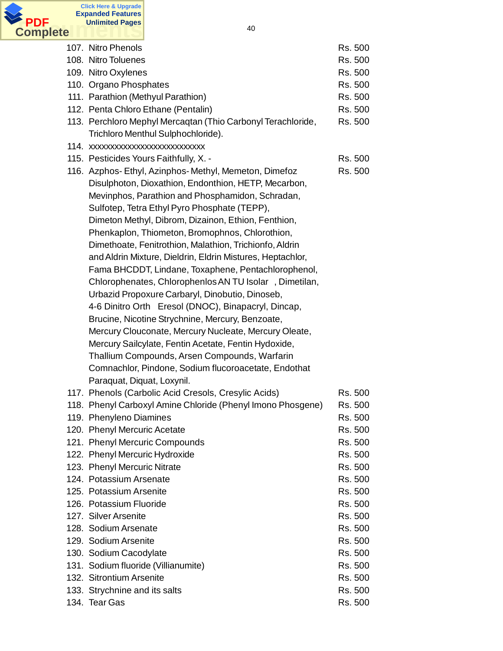

| 107. Nitro Phenols                                                                 | Rs. 500 |
|------------------------------------------------------------------------------------|---------|
| 108. Nitro Toluenes                                                                | Rs. 500 |
| 109. Nitro Oxylenes                                                                | Rs. 500 |
| 110. Organo Phosphates                                                             | Rs. 500 |
| 111. Parathion (Methyul Parathion)                                                 | Rs. 500 |
| 112. Penta Chloro Ethane (Pentalin)                                                | Rs. 500 |
| 113. Perchloro Mephyl Mercaqtan (Thio Carbonyl Terachloride,                       | Rs. 500 |
| Trichloro Menthul Sulphochloride).                                                 |         |
| 114. xxxxxxxxxxxxxxxxxxxxxxxxxx                                                    |         |
| 115. Pesticides Yours Faithfully, X. -                                             | Rs. 500 |
| 116. Azphos- Ethyl, Azinphos- Methyl, Memeton, Dimefoz                             | Rs. 500 |
| Disulphoton, Dioxathion, Endonthion, HETP, Mecarbon,                               |         |
| Mevinphos, Parathion and Phosphamidon, Schradan,                                   |         |
| Sulfotep, Tetra Ethyl Pyro Phosphate (TEPP),                                       |         |
| Dimeton Methyl, Dibrom, Dizainon, Ethion, Fenthion,                                |         |
| Phenkaplon, Thiometon, Bromophnos, Chlorothion,                                    |         |
| Dimethoate, Fenitrothion, Malathion, Trichionfo, Aldrin                            |         |
| and Aldrin Mixture, Dieldrin, Eldrin Mistures, Heptachlor,                         |         |
| Fama BHCDDT, Lindane, Toxaphene, Pentachlorophenol,                                |         |
| Chlorophenates, Chlorophenlos AN TU Isolar, Dimetilan,                             |         |
| Urbazid Propoxure Carbaryl, Dinobutio, Dinoseb,                                    |         |
| 4-6 Dinitro Orth Eresol (DNOC), Binapacryl, Dincap,                                |         |
| Brucine, Nicotine Strychnine, Mercury, Benzoate,                                   |         |
| Mercury Clouconate, Mercury Nucleate, Mercury Oleate,                              |         |
|                                                                                    |         |
| Mercury Sailcylate, Fentin Acetate, Fentin Hydoxide,                               |         |
| Thallium Compounds, Arsen Compounds, Warfarin                                      |         |
| Comnachlor, Pindone, Sodium flucoroacetate, Endothat                               |         |
| Paraquat, Diquat, Loxynil.<br>117. Phenols (Carbolic Acid Cresols, Cresylic Acids) |         |
|                                                                                    | Rs. 500 |
| 118. Phenyl Carboxyl Amine Chloride (Phenyl Imono Phosgene)                        | Rs. 500 |
| 119. Phenyleno Diamines                                                            | Rs. 500 |
| 120. Phenyl Mercuric Acetate                                                       | Rs. 500 |
| 121. Phenyl Mercuric Compounds                                                     | Rs. 500 |
| 122. Phenyl Mercuric Hydroxide                                                     | Rs. 500 |
| 123. Phenyl Mercuric Nitrate                                                       | Rs. 500 |
| 124. Potassium Arsenate                                                            | Rs. 500 |
| 125. Potassium Arsenite                                                            | Rs. 500 |
| 126. Potassium Fluoride                                                            | Rs. 500 |
| 127. Silver Arsenite                                                               | Rs. 500 |
| 128. Sodium Arsenate                                                               | Rs. 500 |
| 129. Sodium Arsenite                                                               | Rs. 500 |
| 130. Sodium Cacodylate                                                             | Rs. 500 |
| 131. Sodium fluoride (Villianumite)                                                | Rs. 500 |
| 132. Sitrontium Arsenite                                                           | Rs. 500 |
| 133. Strychnine and its salts                                                      | Rs. 500 |
| 134. Tear Gas                                                                      | Rs. 500 |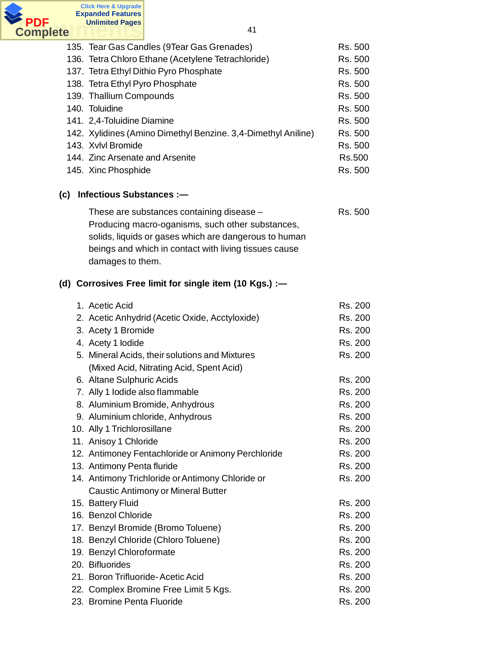

| 135. Tear Gas Candles (9Tear Gas Grenades)                    | Rs. 500 |
|---------------------------------------------------------------|---------|
| 136. Tetra Chloro Ethane (Acetylene Tetrachloride)            | Rs. 500 |
| 137. Tetra Ethyl Dithio Pyro Phosphate                        | Rs. 500 |
| 138. Tetra Ethyl Pyro Phosphate                               | Rs. 500 |
| 139. Thallium Compounds                                       | Rs. 500 |
| 140. Toluidine                                                | Rs. 500 |
| 141. 2,4-Toluidine Diamine                                    | Rs. 500 |
| 142. Xylidines (Amino Dimethyl Benzine. 3,4-Dimethyl Aniline) | Rs. 500 |
| 143. Xvlvl Bromide                                            | Rs. 500 |
| 144. Zinc Arsenate and Arsenite                               | Rs.500  |
| 145. Xinc Phosphide                                           | Rs. 500 |
|                                                               |         |

### **(c) Infectious Substances :—**

| These are substances containing disease -             | Rs. 500 |
|-------------------------------------------------------|---------|
| Producing macro-oganisms, such other substances,      |         |
| solids, liquids or gases which are dangerous to human |         |
| beings and which in contact with living tissues cause |         |
| damages to them.                                      |         |

### **(d) Corrosives Free limit for single item (10 Kgs.) :—**

| 1. Acetic Acid                                     | Rs. 200 |
|----------------------------------------------------|---------|
| 2. Acetic Anhydrid (Acetic Oxide, Acctyloxide)     | Rs. 200 |
| 3. Acety 1 Bromide                                 | Rs. 200 |
| 4. Acety 1 lodide                                  | Rs. 200 |
| 5. Mineral Acids, their solutions and Mixtures     | Rs. 200 |
| (Mixed Acid, Nitrating Acid, Spent Acid)           |         |
| 6. Altane Sulphuric Acids                          | Rs. 200 |
| 7. Ally 1 lodide also flammable                    | Rs. 200 |
| 8. Aluminium Bromide, Anhydrous                    | Rs. 200 |
| 9. Aluminium chloride, Anhydrous                   | Rs. 200 |
| 10. Ally 1 Trichlorosillane                        | Rs. 200 |
| 11. Anisoy 1 Chloride                              | Rs. 200 |
| 12. Antimoney Fentachloride or Animony Perchloride | Rs. 200 |
| 13. Antimony Penta fluride                         | Rs. 200 |
| 14. Antimony Trichloride or Antimony Chloride or   | Rs. 200 |
| Caustic Antimony or Mineral Butter                 |         |
| 15. Battery Fluid                                  | Rs. 200 |
| 16. Benzol Chloride                                | Rs. 200 |
| 17. Benzyl Bromide (Bromo Toluene)                 | Rs. 200 |
| 18. Benzyl Chloride (Chloro Toluene)               | Rs. 200 |
| 19. Benzyl Chloroformate                           | Rs. 200 |
| 20. Bifluorides                                    | Rs. 200 |
| 21. Boron Trifluoride-Acetic Acid                  | Rs. 200 |
| 22. Complex Bromine Free Limit 5 Kgs.              | Rs. 200 |
| 23. Bromine Penta Fluoride                         | Rs. 200 |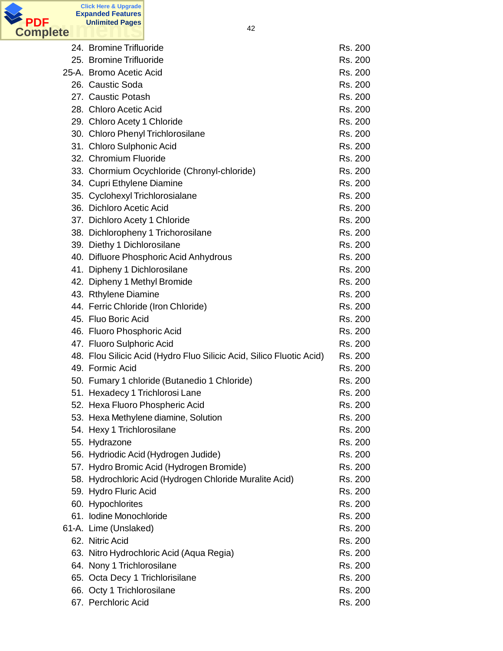

| 24. Bromine Trifluoride                                              | Rs. 200 |
|----------------------------------------------------------------------|---------|
| 25. Bromine Trifluoride                                              | Rs. 200 |
| 25-A. Bromo Acetic Acid                                              | Rs. 200 |
| 26. Caustic Soda                                                     | Rs. 200 |
| 27. Caustic Potash                                                   | Rs. 200 |
| 28. Chloro Acetic Acid                                               | Rs. 200 |
| 29. Chloro Acety 1 Chloride                                          | Rs. 200 |
| 30. Chloro Phenyl Trichlorosilane                                    | Rs. 200 |
| 31. Chloro Sulphonic Acid                                            | Rs. 200 |
| 32. Chromium Fluoride                                                | Rs. 200 |
| 33. Chormium Ocychloride (Chronyl-chloride)                          | Rs. 200 |
| 34. Cupri Ethylene Diamine                                           | Rs. 200 |
| 35. Cyclohexyl Trichlorosialane                                      | Rs. 200 |
| 36. Dichloro Acetic Acid                                             | Rs. 200 |
| 37. Dichloro Acety 1 Chloride                                        | Rs. 200 |
| 38. Dichloropheny 1 Trichorosilane                                   | Rs. 200 |
| 39. Diethy 1 Dichlorosilane                                          | Rs. 200 |
| 40. Difluore Phosphoric Acid Anhydrous                               | Rs. 200 |
| 41. Dipheny 1 Dichlorosilane                                         | Rs. 200 |
| 42. Dipheny 1 Methyl Bromide                                         | Rs. 200 |
| 43. Rthylene Diamine                                                 | Rs. 200 |
| 44. Ferric Chloride (Iron Chloride)                                  | Rs. 200 |
| 45. Fluo Boric Acid                                                  | Rs. 200 |
| 46. Fluoro Phosphoric Acid                                           | Rs. 200 |
| 47. Fluoro Sulphoric Acid                                            | Rs. 200 |
| 48. Flou Silicic Acid (Hydro Fluo Silicic Acid, Silico Fluotic Acid) | Rs. 200 |
| 49. Formic Acid                                                      | Rs. 200 |
| 50. Fumary 1 chloride (Butanedio 1 Chloride)                         | Rs. 200 |
| 51. Hexadecy 1 Trichlorosi Lane                                      | Rs. 200 |
| 52. Hexa Fluoro Phospheric Acid                                      | Rs. 200 |
| 53. Hexa Methylene diamine, Solution                                 | Rs. 200 |
| 54. Hexy 1 Trichlorosilane                                           | Rs. 200 |
| 55. Hydrazone                                                        | Rs. 200 |
| 56. Hydriodic Acid (Hydrogen Judide)                                 | Rs. 200 |
| 57. Hydro Bromic Acid (Hydrogen Bromide)                             | Rs. 200 |
| 58. Hydrochloric Acid (Hydrogen Chloride Muralite Acid)              | Rs. 200 |
| 59. Hydro Fluric Acid                                                | Rs. 200 |
| 60. Hypochlorites                                                    | Rs. 200 |
| 61. Iodine Monochloride                                              | Rs. 200 |
| 61-A. Lime (Unslaked)                                                | Rs. 200 |
| 62. Nitric Acid                                                      | Rs. 200 |
| 63. Nitro Hydrochloric Acid (Aqua Regia)                             | Rs. 200 |
| 64. Nony 1 Trichlorosilane                                           | Rs. 200 |
| 65. Octa Decy 1 Trichlorisilane                                      | Rs. 200 |
| 66. Octy 1 Trichlorosilane                                           | Rs. 200 |
| 67. Perchloric Acid                                                  | Rs. 200 |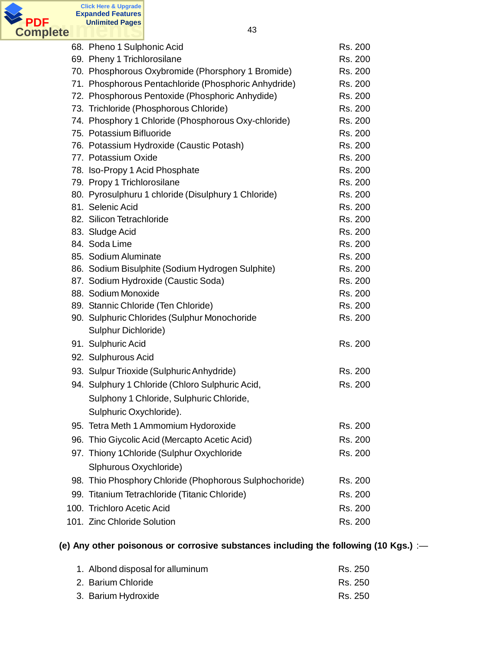

| 68. Pheno 1 Sulphonic Acid                             | Rs. 200 |
|--------------------------------------------------------|---------|
| 69. Pheny 1 Trichlorosilane                            | Rs. 200 |
| 70. Phosphorous Oxybromide (Phorsphory 1 Bromide)      | Rs. 200 |
| 71. Phosphorous Pentachloride (Phosphoric Anhydride)   | Rs. 200 |
| 72. Phosphorous Pentoxide (Phosphoric Anhydide)        | Rs. 200 |
| 73. Trichloride (Phosphorous Chloride)                 | Rs. 200 |
| 74. Phosphory 1 Chloride (Phosphorous Oxy-chloride)    | Rs. 200 |
| 75. Potassium Bifluoride                               | Rs. 200 |
| 76. Potassium Hydroxide (Caustic Potash)               | Rs. 200 |
| 77. Potassium Oxide                                    | Rs. 200 |
| 78. Iso-Propy 1 Acid Phosphate                         | Rs. 200 |
| 79. Propy 1 Trichlorosilane                            | Rs. 200 |
| 80. Pyrosulphuru 1 chloride (Disulphury 1 Chloride)    | Rs. 200 |
| 81. Selenic Acid                                       | Rs. 200 |
| 82. Silicon Tetrachloride                              | Rs. 200 |
| 83. Sludge Acid                                        | Rs. 200 |
| 84. Soda Lime                                          | Rs. 200 |
| 85. Sodium Aluminate                                   | Rs. 200 |
| 86. Sodium Bisulphite (Sodium Hydrogen Sulphite)       | Rs. 200 |
| 87. Sodium Hydroxide (Caustic Soda)                    | Rs. 200 |
| 88. Sodium Monoxide                                    | Rs. 200 |
| 89. Stannic Chloride (Ten Chloride)                    | Rs. 200 |
| 90. Sulphuric Chlorides (Sulphur Monochoride           | Rs. 200 |
| Sulphur Dichloride)                                    |         |
| 91. Sulphuric Acid                                     | Rs. 200 |
| 92. Sulphurous Acid                                    |         |
| 93. Sulpur Trioxide (Sulphuric Anhydride)              | Rs. 200 |
| 94. Sulphury 1 Chloride (Chloro Sulphuric Acid,        | Rs. 200 |
| Sulphony 1 Chloride, Sulphuric Chloride,               |         |
| Sulphuric Oxychloride).                                |         |
| 95. Tetra Meth 1 Ammomium Hydoroxide                   | Rs. 200 |
| 96. Thio Giycolic Acid (Mercapto Acetic Acid)          | Rs. 200 |
| 97. Thiony 1 Chloride (Sulphur Oxychloride             | Rs. 200 |
|                                                        |         |
| Slphurous Oxychloride)                                 |         |
| 98. Thio Phosphory Chloride (Phophorous Sulphochoride) | Rs. 200 |
| 99. Titanium Tetrachloride (Titanic Chloride)          | Rs. 200 |
| 100. Trichloro Acetic Acid                             | Rs. 200 |
| 101. Zinc Chloride Solution                            | Rs. 200 |

# **(e) Any other poisonous or corrosive substances including the following (10 Kgs.)** :—

| 1. Albond disposal for alluminum | Rs. 250 |
|----------------------------------|---------|
| 2. Barium Chloride               | Rs. 250 |
| 3. Barium Hydroxide              | Rs. 250 |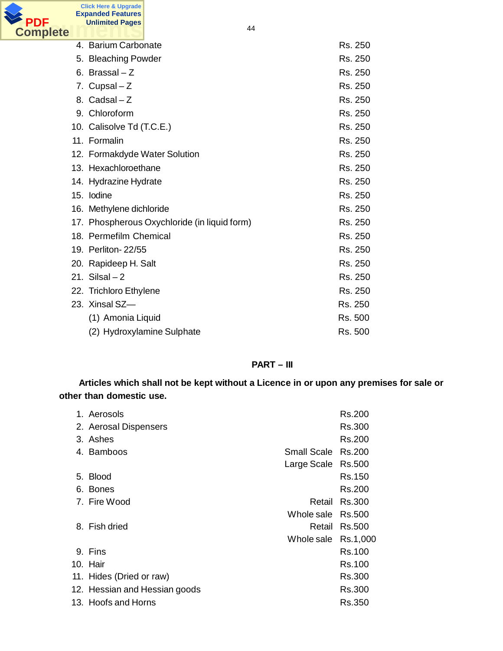

**Click Here & Upgrade Expanded Features Unlimited Pages**

| 4. Barium Carbonate                          | Rs. 250 |
|----------------------------------------------|---------|
| 5. Bleaching Powder                          | Rs. 250 |
| 6. Brassal – Z                               | Rs. 250 |
| 7. Cupsal - Z                                | Rs. 250 |
| 8. Cadsal - Z                                | Rs. 250 |
| 9. Chloroform                                | Rs. 250 |
| 10. Calisolve Td (T.C.E.)                    | Rs. 250 |
| 11. Formalin                                 | Rs. 250 |
| 12. Formakdyde Water Solution                | Rs. 250 |
| 13. Hexachloroethane                         | Rs. 250 |
| 14. Hydrazine Hydrate                        | Rs. 250 |
| 15. Iodine                                   | Rs. 250 |
| 16. Methylene dichloride                     | Rs. 250 |
| 17. Phospherous Oxychloride (in liquid form) | Rs. 250 |
| 18. Permefilm Chemical                       | Rs. 250 |
| 19. Perliton-22/55                           | Rs. 250 |
| 20. Rapideep H. Salt                         | Rs. 250 |
| 21. Silsal $-2$                              | Rs. 250 |
| 22. Trichloro Ethylene                       | Rs. 250 |
| 23. Xinsal SZ-                               | Rs. 250 |
| (1) Amonia Liquid                            | Rs. 500 |
| (2) Hydroxylamine Sulphate                   | Rs. 500 |

### **PART – III**

**Articles which shall not be kept without a Licence in or upon any premises for sale or other than domestic use.**

| 1. Aerosols                   |                     | Rs.200 |
|-------------------------------|---------------------|--------|
| 2. Aerosal Dispensers         |                     | Rs.300 |
| 3. Ashes                      |                     | Rs.200 |
| 4. Bamboos                    | Small Scale Rs.200  |        |
|                               | Large Scale Rs.500  |        |
| 5. Blood                      |                     | Rs.150 |
| 6. Bones                      |                     | Rs.200 |
| 7. Fire Wood                  | Retail              | Rs.300 |
|                               | Whole sale Rs.500   |        |
| 8. Fish dried                 | Retail              | Rs.500 |
|                               | Whole sale Rs.1,000 |        |
| 9. Fins                       |                     | Rs.100 |
| 10. Hair                      |                     | Rs.100 |
| 11. Hides (Dried or raw)      |                     | Rs.300 |
| 12. Hessian and Hessian goods |                     | Rs.300 |
| 13. Hoofs and Horns           |                     | Rs.350 |
|                               |                     |        |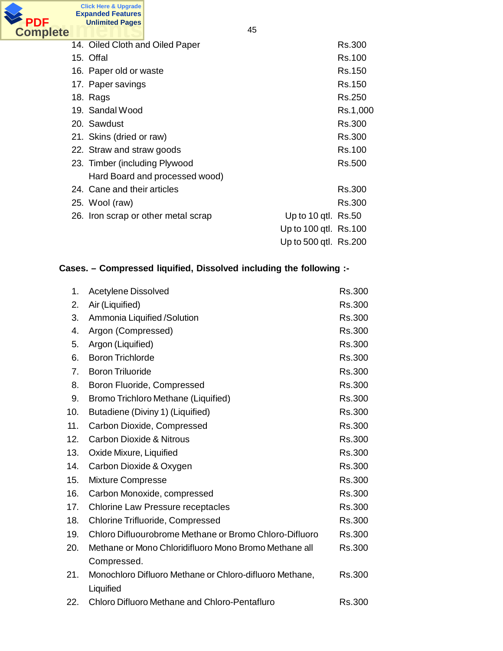

45

|  | 14. Oiled Cloth and Oiled Paper     |                       | Rs.300   |
|--|-------------------------------------|-----------------------|----------|
|  | 15. Offal                           |                       | Rs.100   |
|  | 16. Paper old or waste              |                       | Rs.150   |
|  | 17. Paper savings                   |                       | Rs.150   |
|  | 18. Rags                            |                       | Rs.250   |
|  | 19. Sandal Wood                     |                       | Rs.1,000 |
|  | 20. Sawdust                         |                       | Rs.300   |
|  | 21. Skins (dried or raw)            |                       | Rs.300   |
|  | 22. Straw and straw goods           |                       | Rs.100   |
|  | 23. Timber (including Plywood       |                       | Rs.500   |
|  | Hard Board and processed wood)      |                       |          |
|  | 24. Cane and their articles         |                       | Rs.300   |
|  | 25. Wool (raw)                      |                       | Rs.300   |
|  | 26. Iron scrap or other metal scrap | Up to 10 qtl. Rs.50   |          |
|  |                                     | Up to 100 gtl. Rs.100 |          |
|  |                                     | Up to 500 gtl. Rs.200 |          |
|  |                                     |                       |          |

# **Cases. – Compressed liquified, Dissolved including the following :-**

| 1.  | <b>Acetylene Dissolved</b>                              | Rs.300        |
|-----|---------------------------------------------------------|---------------|
| 2.  | Air (Liquified)                                         | Rs.300        |
| 3.  | Ammonia Liquified /Solution                             | Rs.300        |
| 4.  | Argon (Compressed)                                      | Rs.300        |
| 5.  | Argon (Liquified)                                       | Rs.300        |
| 6.  | <b>Boron Trichlorde</b>                                 | Rs.300        |
| 7.  | <b>Boron Triluoride</b>                                 | Rs.300        |
| 8.  | Boron Fluoride, Compressed                              | Rs.300        |
| 9.  | Bromo Trichloro Methane (Liquified)                     | Rs.300        |
| 10. | Butadiene (Diviny 1) (Liquified)                        | Rs.300        |
| 11. | Carbon Dioxide, Compressed                              | Rs.300        |
| 12. | <b>Carbon Dioxide &amp; Nitrous</b>                     | <b>Rs.300</b> |
| 13. | Oxide Mixure, Liquified                                 | Rs.300        |
| 14. | Carbon Dioxide & Oxygen                                 | Rs.300        |
| 15. | Mixture Compresse                                       | Rs.300        |
| 16. | Carbon Monoxide, compressed                             | Rs.300        |
| 17. | <b>Chlorine Law Pressure receptacles</b>                | Rs.300        |
| 18. | <b>Chlorine Trifluoride, Compressed</b>                 | Rs.300        |
| 19. | Chloro Difluourobrome Methane or Bromo Chloro-Difluoro  | Rs.300        |
| 20. | Methane or Mono Chloridifluoro Mono Bromo Methane all   | Rs.300        |
|     | Compressed.                                             |               |
| 21. | Monochloro Difluoro Methane or Chloro-difluoro Methane, | <b>Rs.300</b> |
|     | Liquified                                               |               |
| 22. | Chloro Difluoro Methane and Chloro-Pentafluro           | <b>Rs.300</b> |
|     |                                                         |               |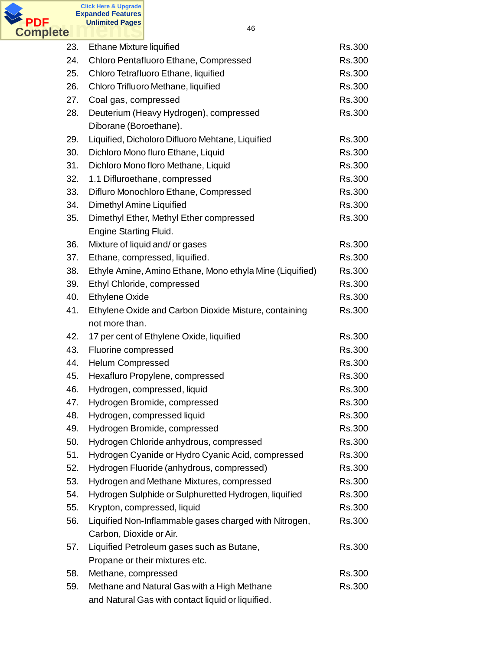

| 23. | Ethane Mixture liquified                                 | Rs.300        |
|-----|----------------------------------------------------------|---------------|
| 24. | Chloro Pentafluoro Ethane, Compressed                    | Rs.300        |
| 25. | Chloro Tetrafluoro Ethane, liquified                     | Rs.300        |
| 26. | Chloro Trifluoro Methane, liquified                      | Rs.300        |
| 27. | Coal gas, compressed                                     | Rs.300        |
| 28. | Deuterium (Heavy Hydrogen), compressed                   | Rs.300        |
|     | Diborane (Boroethane).                                   |               |
| 29. | Liquified, Dicholoro Difluoro Mehtane, Liquified         | Rs.300        |
| 30. | Dichloro Mono fluro Ethane, Liquid                       | <b>Rs.300</b> |
| 31. | Dichloro Mono floro Methane, Liquid                      | Rs.300        |
| 32. | 1.1 Difluroethane, compressed                            | Rs.300        |
| 33. | Difluro Monochloro Ethane, Compressed                    | Rs.300        |
| 34. | Dimethyl Amine Liquified                                 | Rs.300        |
| 35. | Dimethyl Ether, Methyl Ether compressed                  | Rs.300        |
|     | <b>Engine Starting Fluid.</b>                            |               |
| 36. | Mixture of liquid and/ or gases                          | Rs.300        |
| 37. | Ethane, compressed, liquified.                           | Rs.300        |
| 38. | Ethyle Amine, Amino Ethane, Mono ethyla Mine (Liquified) | Rs.300        |
| 39. | Ethyl Chloride, compressed                               | Rs.300        |
| 40. | <b>Ethylene Oxide</b>                                    | Rs.300        |
| 41. | Ethylene Oxide and Carbon Dioxide Misture, containing    | Rs.300        |
|     | not more than.                                           |               |
| 42. | 17 per cent of Ethylene Oxide, liquified                 | Rs.300        |
| 43. | Fluorine compressed                                      | Rs.300        |
| 44. | <b>Helum Compressed</b>                                  | Rs.300        |
| 45. | Hexafluro Propylene, compressed                          | Rs.300        |
| 46. | Hydrogen, compressed, liquid                             | <b>Rs.300</b> |
| 47. | Hydrogen Bromide, compressed                             | Rs.300        |
| 48. | Hydrogen, compressed liquid                              | Rs.300        |
| 49. | Hydrogen Bromide, compressed                             | Rs.300        |
| 50. | Hydrogen Chloride anhydrous, compressed                  | Rs.300        |
| 51. | Hydrogen Cyanide or Hydro Cyanic Acid, compressed        | Rs.300        |
| 52. | Hydrogen Fluoride (anhydrous, compressed)                | Rs.300        |
| 53. | Hydrogen and Methane Mixtures, compressed                | Rs.300        |
| 54. | Hydrogen Sulphide or Sulphuretted Hydrogen, liquified    | Rs.300        |
| 55. | Krypton, compressed, liquid                              | Rs.300        |
| 56. | Liquified Non-Inflammable gases charged with Nitrogen,   | Rs.300        |
|     | Carbon, Dioxide or Air.                                  |               |
| 57. | Liquified Petroleum gases such as Butane,                | Rs.300        |
|     | Propane or their mixtures etc.                           |               |
| 58. | Methane, compressed                                      | Rs.300        |
| 59. | Methane and Natural Gas with a High Methane              | Rs.300        |
|     | and Natural Gas with contact liquid or liquified.        |               |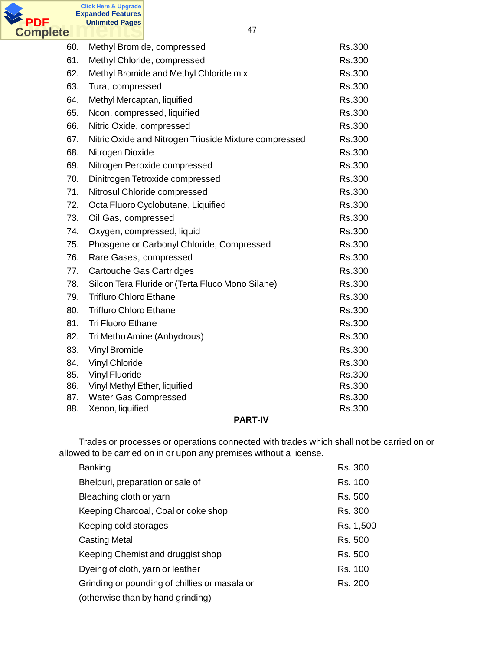

| 60. | Methyl Bromide, compressed                            | Rs.300        |
|-----|-------------------------------------------------------|---------------|
| 61. | Methyl Chloride, compressed                           | Rs.300        |
| 62. | Methyl Bromide and Methyl Chloride mix                | Rs.300        |
| 63. | Tura, compressed                                      | Rs.300        |
| 64. | Methyl Mercaptan, liquified                           | Rs.300        |
| 65. | Ncon, compressed, liquified                           | Rs.300        |
| 66. | Nitric Oxide, compressed                              | <b>Rs.300</b> |
| 67. | Nitric Oxide and Nitrogen Trioside Mixture compressed | Rs.300        |
| 68. | Nitrogen Dioxide                                      | Rs.300        |
| 69. | Nitrogen Peroxide compressed                          | Rs.300        |
| 70. | Dinitrogen Tetroxide compressed                       | Rs.300        |
| 71. | Nitrosul Chloride compressed                          | Rs.300        |
| 72. | Octa Fluoro Cyclobutane, Liquified                    | Rs.300        |
| 73. | Oil Gas, compressed                                   | Rs.300        |
| 74. | Oxygen, compressed, liquid                            | Rs.300        |
| 75. | Phosgene or Carbonyl Chloride, Compressed             | Rs.300        |
| 76. | Rare Gases, compressed                                | Rs.300        |
| 77. | Cartouche Gas Cartridges                              | Rs.300        |
| 78. | Silcon Tera Fluride or (Terta Fluco Mono Silane)      | Rs.300        |
| 79. | <b>Trifluro Chloro Ethane</b>                         | Rs.300        |
| 80. | <b>Trifluro Chloro Ethane</b>                         | Rs.300        |
| 81. | <b>Tri Fluoro Ethane</b>                              | Rs.300        |
| 82. | Tri Methu Amine (Anhydrous)                           | Rs.300        |
| 83. | <b>Vinyl Bromide</b>                                  | Rs.300        |
| 84. | <b>Vinyl Chloride</b>                                 | Rs.300        |
| 85. | <b>Vinyl Fluoride</b>                                 | Rs.300        |
| 86. | Vinyl Methyl Ether, liquified                         | Rs.300        |
| 87. | <b>Water Gas Compressed</b>                           | Rs.300        |
| 88. | Xenon, liquified                                      | Rs.300        |
|     | <b>PART-IV</b>                                        |               |

Trades or processes or operations connected with trades which shall not be carried on or allowed to be carried on in or upon any premises without a license.

| Banking                                       | Rs. 300   |
|-----------------------------------------------|-----------|
| Bhelpuri, preparation or sale of              | Rs. 100   |
| Bleaching cloth or yarn                       | Rs. 500   |
| Keeping Charcoal, Coal or coke shop           | Rs. 300   |
| Keeping cold storages                         | Rs. 1,500 |
| <b>Casting Metal</b>                          | Rs. 500   |
| Keeping Chemist and druggist shop             | Rs. 500   |
| Dyeing of cloth, yarn or leather              | Rs. 100   |
| Grinding or pounding of chillies or masala or | Rs. 200   |
| (otherwise than by hand grinding)             |           |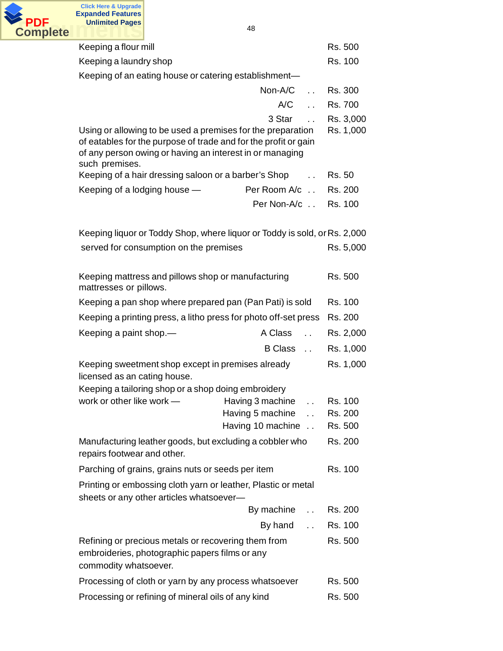

| Keeping a flour mill                                                                                                                                                                                         |                                                                | Rs. 500            |  |
|--------------------------------------------------------------------------------------------------------------------------------------------------------------------------------------------------------------|----------------------------------------------------------------|--------------------|--|
| Keeping a laundry shop                                                                                                                                                                                       |                                                                | Rs. 100            |  |
| Keeping of an eating house or catering establishment-                                                                                                                                                        |                                                                |                    |  |
|                                                                                                                                                                                                              | Non-A/C<br>$\ddotsc$                                           | Rs. 300            |  |
|                                                                                                                                                                                                              | A/C<br>$\ddot{\phantom{0}}$                                    | Rs. 700            |  |
|                                                                                                                                                                                                              | 3 Star<br>$\ddot{\phantom{a}}$                                 | Rs. 3,000          |  |
| Using or allowing to be used a premises for the preparation<br>of eatables for the purpose of trade and for the profit or gain<br>of any person owing or having an interest in or managing<br>such premises. |                                                                | Rs. 1,000          |  |
| Keeping of a hair dressing saloon or a barber's Shop                                                                                                                                                         | $\ddot{\phantom{a}}$                                           | Rs. 50             |  |
| Keeping of a lodging house -                                                                                                                                                                                 | Per Room A/c                                                   | Rs. 200            |  |
|                                                                                                                                                                                                              | Per Non-A/c . Rs. 100                                          |                    |  |
| Keeping liquor or Toddy Shop, where liquor or Toddy is sold, or Rs. 2,000                                                                                                                                    |                                                                |                    |  |
| served for consumption on the premises                                                                                                                                                                       |                                                                | Rs. 5,000          |  |
| Keeping mattress and pillows shop or manufacturing<br>mattresses or pillows.                                                                                                                                 |                                                                | Rs. 500            |  |
| Keeping a pan shop where prepared pan (Pan Pati) is sold                                                                                                                                                     |                                                                | Rs. 100            |  |
| Keeping a printing press, a litho press for photo off-set press                                                                                                                                              |                                                                | Rs. 200            |  |
| Keeping a paint shop.—                                                                                                                                                                                       | A Class<br>$\ddot{\phantom{a}}$                                | Rs. 2,000          |  |
|                                                                                                                                                                                                              | B Class                                                        | Rs. 1,000          |  |
| Keeping sweetment shop except in premises already<br>licensed as an cating house.                                                                                                                            |                                                                | Rs. 1,000          |  |
| Keeping a tailoring shop or a shop doing embroidery                                                                                                                                                          |                                                                |                    |  |
| work or other like work -                                                                                                                                                                                    | Having 3 machine<br>$\mathbf{r}$ , $\mathbf{r}$ , $\mathbf{r}$ | Rs. 100            |  |
|                                                                                                                                                                                                              | Having 5 machine<br>Having 10 machine                          | Rs. 200<br>Rs. 500 |  |
| Manufacturing leather goods, but excluding a cobbler who<br>repairs footwear and other.                                                                                                                      |                                                                | Rs. 200            |  |
| Parching of grains, grains nuts or seeds per item                                                                                                                                                            |                                                                | Rs. 100            |  |
| Printing or embossing cloth yarn or leather, Plastic or metal<br>sheets or any other articles whatsoever-                                                                                                    |                                                                |                    |  |
|                                                                                                                                                                                                              | By machine<br>$\ddot{\phantom{a}}$                             | Rs. 200            |  |
|                                                                                                                                                                                                              | By hand<br>$\mathbf{L}$                                        | Rs. 100            |  |
| Refining or precious metals or recovering them from<br>embroideries, photographic papers films or any<br>commodity whatsoever.                                                                               |                                                                | Rs. 500            |  |
| Processing of cloth or yarn by any process whatsoever                                                                                                                                                        |                                                                | Rs. 500            |  |
| Processing or refining of mineral oils of any kind                                                                                                                                                           |                                                                | Rs. 500            |  |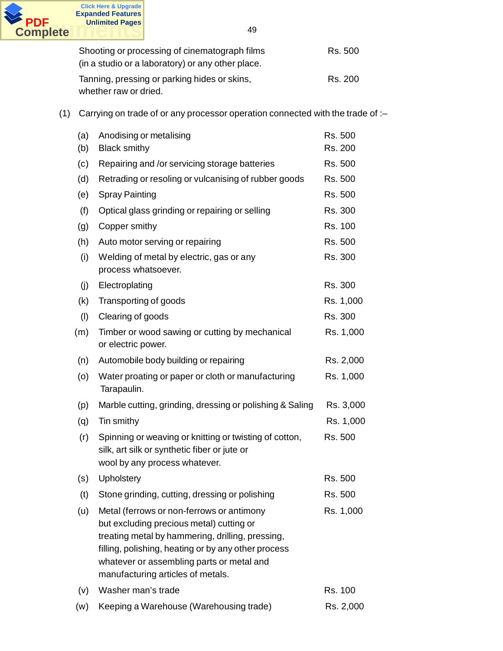

| Shooting or processing of cinematograph films     | Rs. 500 |
|---------------------------------------------------|---------|
| (in a studio or a laboratory) or any other place. |         |
| Tanning, pressing or parking hides or skins,      | Rs. 200 |
| whether raw or dried.                             |         |

(1) Carrying on trade of or any processor operation connected with the trade of :–

| (a)<br>(b) | Anodising or metalising<br><b>Black smithy</b>                                                                                                                                                                                                                                     | Rs. 500<br>Rs. 200 |
|------------|------------------------------------------------------------------------------------------------------------------------------------------------------------------------------------------------------------------------------------------------------------------------------------|--------------------|
| (c)        | Repairing and /or servicing storage batteries                                                                                                                                                                                                                                      | Rs. 500            |
| (d)        | Retrading or resoling or vulcanising of rubber goods                                                                                                                                                                                                                               | Rs. 500            |
| (e)        | <b>Spray Painting</b>                                                                                                                                                                                                                                                              | Rs. 500            |
| (f)        | Optical glass grinding or repairing or selling                                                                                                                                                                                                                                     | Rs. 300            |
| (g)        | Copper smithy                                                                                                                                                                                                                                                                      | Rs. 100            |
| (h)        | Auto motor serving or repairing                                                                                                                                                                                                                                                    | Rs. 500            |
| (i)        | Welding of metal by electric, gas or any<br>process whatsoever.                                                                                                                                                                                                                    | Rs. 300            |
| (j)        | Electroplating                                                                                                                                                                                                                                                                     | Rs. 300            |
| (k)        | Transporting of goods                                                                                                                                                                                                                                                              | Rs. 1,000          |
| (1)        | Clearing of goods                                                                                                                                                                                                                                                                  | Rs. 300            |
| (m)        | Timber or wood sawing or cutting by mechanical<br>or electric power.                                                                                                                                                                                                               | Rs. 1,000          |
| (n)        | Automobile body building or repairing                                                                                                                                                                                                                                              | Rs. 2,000          |
| (o)        | Water proating or paper or cloth or manufacturing<br>Tarapaulin.                                                                                                                                                                                                                   | Rs. 1,000          |
| (p)        | Marble cutting, grinding, dressing or polishing & Saling                                                                                                                                                                                                                           | Rs. 3,000          |
| (q)        | Tin smithy                                                                                                                                                                                                                                                                         | Rs. 1,000          |
| (r)        | Spinning or weaving or knitting or twisting of cotton,<br>silk, art silk or synthetic fiber or jute or<br>wool by any process whatever.                                                                                                                                            | Rs. 500            |
| (s)        | Upholstery                                                                                                                                                                                                                                                                         | Rs. 500            |
| (t)        | Stone grinding, cutting, dressing or polishing                                                                                                                                                                                                                                     | Rs. 500            |
| (u)        | Metal (ferrows or non-ferrows or antimony<br>but excluding precious metal) cutting or<br>treating metal by hammering, drilling, pressing,<br>filling, polishing, heating or by any other process<br>whatever or assembling parts or metal and<br>manufacturing articles of metals. | Rs. 1,000          |
| (v)        | Washer man's trade                                                                                                                                                                                                                                                                 | Rs. 100            |
| (w)        | Keeping a Warehouse (Warehousing trade)                                                                                                                                                                                                                                            | Rs. 2,000          |
|            |                                                                                                                                                                                                                                                                                    |                    |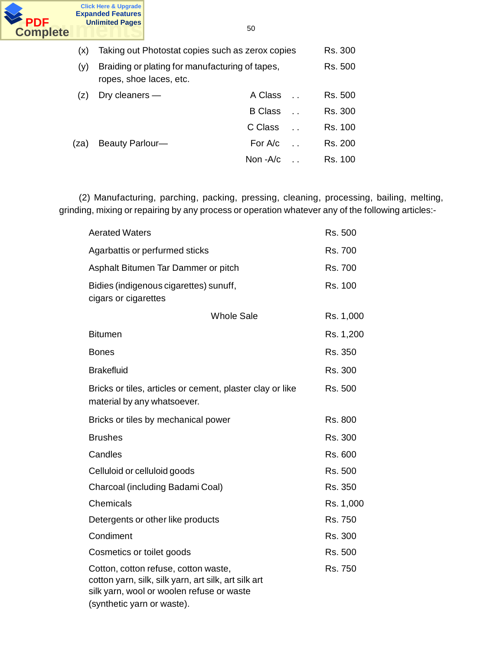

(x) Taking out Photostat copies such as zerox copies Rs. 300 (y) Braiding or plating for manufacturing of tapes, Rs. 500 ropes, shoe laces, etc. (z) Dry cleaners — A Class . . Rs. 500 B Class . . Rs. 300 C Class . . Rs. 100 (za) Beauty Parlour— For A/c . Rs. 200 Non -A/c . . Rs. 100

(2) Manufacturing, parching, packing, pressing, cleaning, processing, bailing, melting, grinding, mixing or repairing by any process or operation whatever any of the following articles:-

| <b>Aerated Waters</b>                                                                                                                                                   | Rs. 500 |           |
|-------------------------------------------------------------------------------------------------------------------------------------------------------------------------|---------|-----------|
| Agarbattis or perfurmed sticks                                                                                                                                          |         | Rs. 700   |
| Asphalt Bitumen Tar Dammer or pitch                                                                                                                                     |         | Rs. 700   |
| Bidies (indigenous cigarettes) sunuff,<br>cigars or cigarettes                                                                                                          |         | Rs. 100   |
| <b>Whole Sale</b>                                                                                                                                                       |         | Rs. 1,000 |
| <b>Bitumen</b>                                                                                                                                                          |         | Rs. 1,200 |
| <b>Bones</b>                                                                                                                                                            |         | Rs. 350   |
| <b>Brakefluid</b>                                                                                                                                                       |         | Rs. 300   |
| Bricks or tiles, articles or cement, plaster clay or like<br>material by any whatsoever.                                                                                | Rs. 500 |           |
| Bricks or tiles by mechanical power                                                                                                                                     |         | Rs. 800   |
| <b>Brushes</b>                                                                                                                                                          |         | Rs. 300   |
| Candles                                                                                                                                                                 | Rs. 600 |           |
| Celluloid or celluloid goods                                                                                                                                            | Rs. 500 |           |
| Charcoal (including Badami Coal)                                                                                                                                        |         | Rs. 350   |
| Chemicals                                                                                                                                                               |         | Rs. 1,000 |
| Detergents or other like products                                                                                                                                       |         | Rs. 750   |
| Condiment                                                                                                                                                               |         | Rs. 300   |
| Cosmetics or toilet goods                                                                                                                                               | Rs. 500 |           |
| Cotton, cotton refuse, cotton waste,<br>cotton yarn, silk, silk yarn, art silk, art silk art<br>silk yarn, wool or woolen refuse or waste<br>(synthetic yarn or waste). |         | Rs. 750   |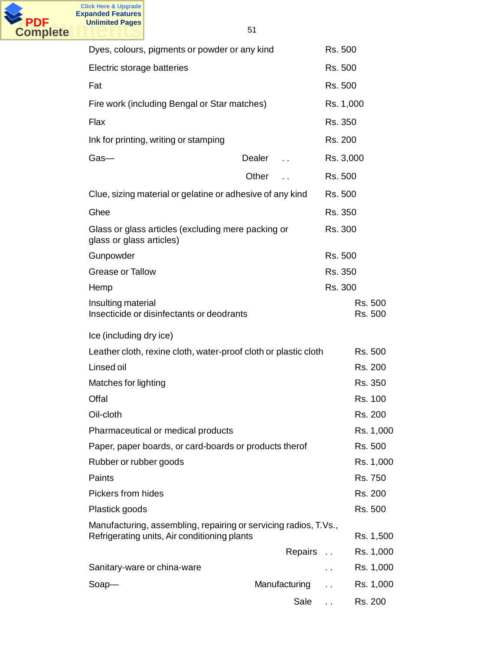

| Dyes, colours, pigments or powder or any kind                                                                    |                                | Rs. 500              |                    |
|------------------------------------------------------------------------------------------------------------------|--------------------------------|----------------------|--------------------|
| Electric storage batteries                                                                                       |                                | Rs. 500              |                    |
| Fat                                                                                                              |                                | Rs. 500              |                    |
| Fire work (including Bengal or Star matches)                                                                     |                                | Rs. 1,000            |                    |
| Flax                                                                                                             |                                | Rs. 350              |                    |
| Ink for printing, writing or stamping                                                                            |                                | Rs. 200              |                    |
| $Gas-$                                                                                                           | Dealer<br>$\ddot{\phantom{a}}$ | Rs. 3,000            |                    |
|                                                                                                                  | Other                          | Rs. 500              |                    |
| Clue, sizing material or gelatine or adhesive of any kind                                                        |                                | Rs. 500              |                    |
| Ghee                                                                                                             |                                | Rs. 350              |                    |
| Glass or glass articles (excluding mere packing or<br>glass or glass articles)                                   |                                | Rs. 300              |                    |
| Gunpowder                                                                                                        |                                | Rs. 500              |                    |
| <b>Grease or Tallow</b>                                                                                          |                                | Rs. 350              |                    |
| Hemp                                                                                                             |                                | Rs. 300              |                    |
| Insulting material<br>Insecticide or disinfectants or deodrants                                                  |                                |                      | Rs. 500<br>Rs. 500 |
| Ice (including dry ice)                                                                                          |                                |                      |                    |
| Leather cloth, rexine cloth, water-proof cloth or plastic cloth                                                  |                                |                      | Rs. 500            |
| Linsed oil                                                                                                       |                                |                      | Rs. 200            |
| Matches for lighting                                                                                             |                                |                      | Rs. 350            |
| Offal                                                                                                            |                                |                      | Rs. 100            |
| Oil-cloth                                                                                                        |                                |                      | Rs. 200            |
| Pharmaceutical or medical products                                                                               |                                |                      | Rs. 1,000          |
| Paper, paper boards, or card-boards or products therof                                                           |                                |                      | Rs. 500            |
| Rubber or rubber goods                                                                                           |                                |                      | Rs. 1,000          |
| Paints                                                                                                           |                                |                      | Rs. 750            |
| Pickers from hides                                                                                               |                                |                      | Rs. 200            |
| Plastick goods                                                                                                   |                                |                      | Rs. 500            |
| Manufacturing, assembling, repairing or servicing radios, T.Vs.,<br>Refrigerating units, Air conditioning plants |                                |                      | Rs. 1,500          |
|                                                                                                                  | Repairs                        | $\ddot{\phantom{0}}$ | Rs. 1,000          |
| Sanitary-ware or china-ware                                                                                      |                                | . .                  | Rs. 1,000          |
| $Soap-$                                                                                                          | Manufacturing                  |                      | Rs. 1,000          |
|                                                                                                                  | Sale                           |                      | Rs. 200            |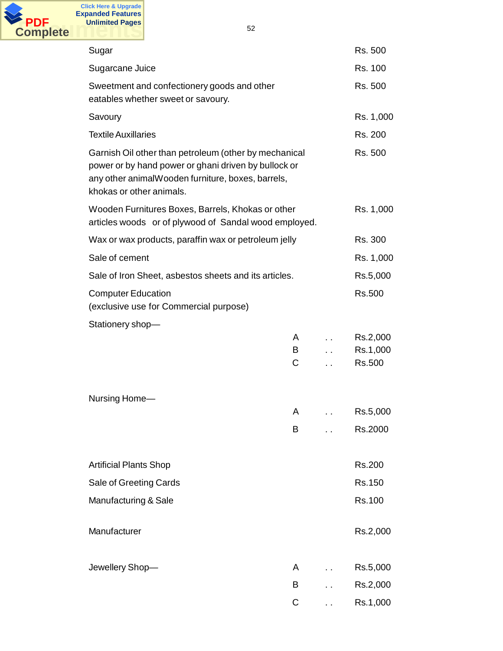

| Sugar                                                                                                                                                                                          |             | Rs. 500                        |
|------------------------------------------------------------------------------------------------------------------------------------------------------------------------------------------------|-------------|--------------------------------|
| Sugarcane Juice                                                                                                                                                                                |             | Rs. 100                        |
| Sweetment and confectionery goods and other<br>eatables whether sweet or savoury.                                                                                                              |             | Rs. 500                        |
| Savoury                                                                                                                                                                                        |             | Rs. 1,000                      |
| <b>Textile Auxillaries</b>                                                                                                                                                                     |             | Rs. 200                        |
| Garnish Oil other than petroleum (other by mechanical<br>power or by hand power or ghani driven by bullock or<br>any other animalWooden furniture, boxes, barrels,<br>khokas or other animals. |             | Rs. 500                        |
| Wooden Furnitures Boxes, Barrels, Khokas or other<br>articles woods or of plywood of Sandal wood employed.                                                                                     |             | Rs. 1,000                      |
| Wax or wax products, paraffin wax or petroleum jelly                                                                                                                                           |             | Rs. 300                        |
| Sale of cement                                                                                                                                                                                 |             | Rs. 1,000                      |
| Sale of Iron Sheet, asbestos sheets and its articles.                                                                                                                                          |             | Rs.5,000                       |
| <b>Computer Education</b><br>(exclusive use for Commercial purpose)                                                                                                                            | Rs.500      |                                |
| Stationery shop-                                                                                                                                                                               |             |                                |
|                                                                                                                                                                                                | A<br>B<br>C | Rs.2,000<br>Rs.1,000<br>Rs.500 |
| Nursing Home-                                                                                                                                                                                  |             |                                |
|                                                                                                                                                                                                | Α           | Rs.5,000                       |
|                                                                                                                                                                                                | B           | Rs.2000                        |
| <b>Artificial Plants Shop</b>                                                                                                                                                                  |             | Rs.200                         |
| Sale of Greeting Cards                                                                                                                                                                         |             | Rs.150                         |
| Manufacturing & Sale                                                                                                                                                                           |             | Rs.100                         |
|                                                                                                                                                                                                |             |                                |
| Manufacturer                                                                                                                                                                                   |             | Rs.2,000                       |
| Jewellery Shop-                                                                                                                                                                                | A           | Rs.5,000                       |
|                                                                                                                                                                                                | В           | Rs.2,000                       |
|                                                                                                                                                                                                | С           | Rs.1,000                       |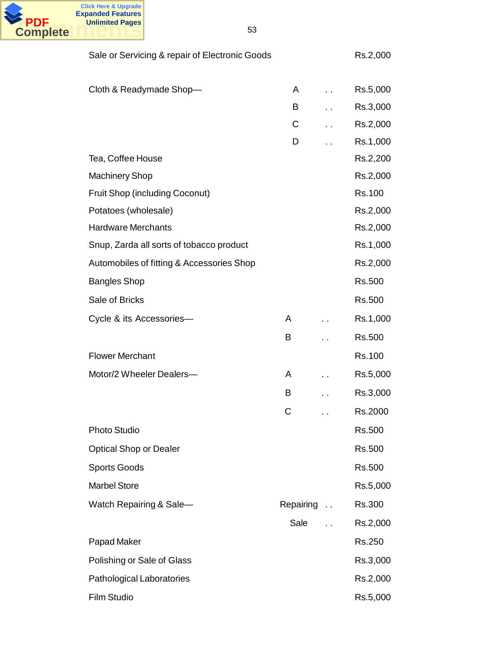

| Sale or Servicing & repair of Electronic Goods |           |                      | Rs.2,000 |
|------------------------------------------------|-----------|----------------------|----------|
|                                                |           |                      |          |
| Cloth & Readymade Shop-                        | A         | $\ddot{\phantom{0}}$ | Rs.5,000 |
|                                                | B         |                      | Rs.3,000 |
|                                                | С         |                      | Rs.2,000 |
|                                                | D         |                      | Rs.1,000 |
| Tea, Coffee House                              |           |                      | Rs.2,200 |
| <b>Machinery Shop</b>                          |           |                      | Rs.2,000 |
| <b>Fruit Shop (including Coconut)</b>          |           |                      | Rs.100   |
| Potatoes (wholesale)                           |           |                      | Rs.2,000 |
| <b>Hardware Merchants</b>                      |           |                      | Rs.2,000 |
| Snup, Zarda all sorts of tobacco product       |           |                      | Rs.1,000 |
| Automobiles of fitting & Accessories Shop      |           |                      | Rs.2,000 |
| <b>Bangles Shop</b>                            |           |                      | Rs.500   |
| Sale of Bricks                                 |           |                      | Rs.500   |
| Cycle & its Accessories-                       | A         |                      | Rs.1,000 |
|                                                | B         |                      | Rs.500   |
| <b>Flower Merchant</b>                         |           |                      | Rs.100   |
| Motor/2 Wheeler Dealers-                       | A         |                      | Rs.5,000 |
|                                                | B         |                      | Rs.3,000 |
|                                                | С         |                      | Rs.2000  |
| Photo Studio                                   |           |                      | Rs.500   |
| <b>Optical Shop or Dealer</b>                  |           |                      | Rs.500   |
| <b>Sports Goods</b>                            |           |                      | Rs.500   |
| <b>Marbel Store</b>                            |           |                      | Rs.5,000 |
| Watch Repairing & Sale-                        | Repairing | $\ddotsc$            | Rs.300   |
|                                                | Sale      |                      | Rs.2,000 |
| Papad Maker                                    |           |                      | Rs.250   |
| Polishing or Sale of Glass                     |           |                      | Rs.3,000 |
| <b>Pathological Laboratories</b>               |           |                      | Rs.2,000 |
| Film Studio                                    |           |                      | Rs.5,000 |